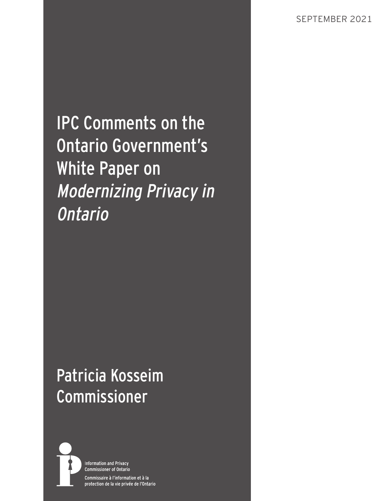IPC Comments on the Ontario Government's White Paper on Modernizing Privacy in Ontario

# Patricia Kosseim Commissioner



**Information and Privacy Commissioner of Ontario** Commissaire à l'information et à la protection de la vie privée de l'Ontario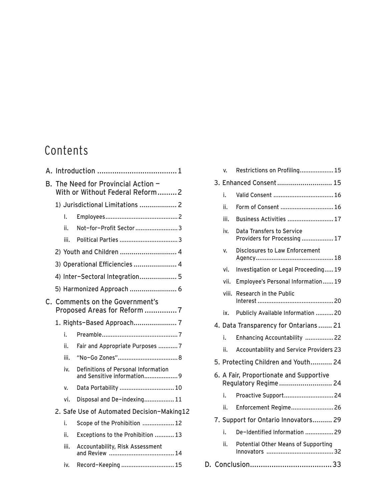## Contents

| А. |                                                                     |      |                                                                    |  |  |
|----|---------------------------------------------------------------------|------|--------------------------------------------------------------------|--|--|
| В. | The Need for Provincial Action -<br>With or Without Federal Reform2 |      |                                                                    |  |  |
|    |                                                                     |      | 1) Jurisdictional Limitations  2                                   |  |  |
|    |                                                                     | I.   |                                                                    |  |  |
|    |                                                                     | ii.  | Not-for-Profit Sector  3                                           |  |  |
|    |                                                                     | iii. |                                                                    |  |  |
|    |                                                                     |      | 2) Youth and Children  4                                           |  |  |
|    |                                                                     |      | 3) Operational Efficiencies  4                                     |  |  |
|    |                                                                     |      | 4) Inter-Sectoral Integration 5                                    |  |  |
|    |                                                                     |      | 5) Harmonized Approach  6                                          |  |  |
| C. | <b>Comments on the Government's</b><br>Proposed Areas for Reform 7  |      |                                                                    |  |  |
|    |                                                                     |      | 1. Rights-Based Approach 7                                         |  |  |
|    |                                                                     | i.   |                                                                    |  |  |
|    |                                                                     | ii.  | Fair and Appropriate Purposes 7                                    |  |  |
|    |                                                                     | iii. |                                                                    |  |  |
|    |                                                                     | iv.  | Definitions of Personal Information<br>and Sensitive information 9 |  |  |
|    |                                                                     | v.   | Data Portability  10                                               |  |  |
|    |                                                                     | vi.  | Disposal and De-indexing 11                                        |  |  |
|    | 2. Safe Use of Automated Decision-Making12                          |      |                                                                    |  |  |
|    |                                                                     | i.   | Scope of the Prohibition  12                                       |  |  |
|    |                                                                     | ii.  | Exceptions to the Prohibition  13                                  |  |  |
|    |                                                                     | iii. | <b>Accountability, Risk Assessment</b>                             |  |  |
|    |                                                                     | iv.  | Record-Keeping  15                                                 |  |  |
|    |                                                                     |      |                                                                    |  |  |

|    |                                      | v.                                                              | Restrictions on Profiling 15                                     |  |  |
|----|--------------------------------------|-----------------------------------------------------------------|------------------------------------------------------------------|--|--|
|    |                                      | 3. Enhanced Consent  15                                         |                                                                  |  |  |
|    |                                      | i.                                                              | Valid Consent  16                                                |  |  |
|    |                                      | ii.                                                             | Form of Consent  16                                              |  |  |
|    |                                      | iii.                                                            | Business Activities  17                                          |  |  |
|    |                                      | iv.                                                             | <b>Data Transfers to Service</b><br>Providers for Processing  17 |  |  |
|    |                                      | v.                                                              | <b>Disclosures to Law Enforcement</b>                            |  |  |
|    |                                      | vi.                                                             | Investigation or Legal Proceeding 19                             |  |  |
|    |                                      | vii.                                                            | Employee's Personal Information 19                               |  |  |
|    |                                      | viii.                                                           | <b>Research in the Public</b>                                    |  |  |
|    |                                      | ix.                                                             | Publicly Available Information 20                                |  |  |
|    |                                      | 4. Data Transparency for Ontarians 21                           |                                                                  |  |  |
|    |                                      | i.                                                              | Enhancing Accountability 22                                      |  |  |
|    |                                      | ii.                                                             | <b>Accountability and Service Providers 23</b>                   |  |  |
|    |                                      |                                                                 | 5. Protecting Children and Youth 24                              |  |  |
|    |                                      | 6. A Fair, Proportionate and Supportive<br>Regulatory Regime 24 |                                                                  |  |  |
|    |                                      | i.                                                              | Proactive Support24                                              |  |  |
|    |                                      | ii.                                                             | Enforcement Regime26                                             |  |  |
|    | 7. Support for Ontario Innovators 29 |                                                                 |                                                                  |  |  |
|    |                                      | i.                                                              | De-Identified Information 29                                     |  |  |
|    |                                      | ii.                                                             | Potential Other Means of Supporting                              |  |  |
| D. |                                      |                                                                 |                                                                  |  |  |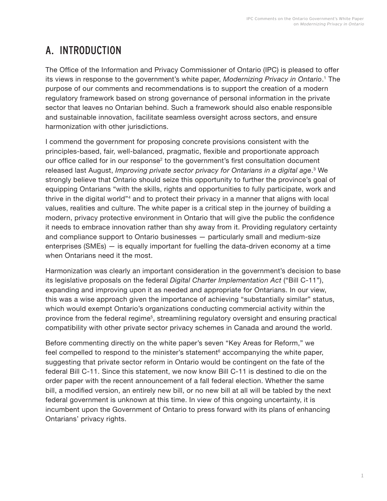## <span id="page-2-0"></span>A. INTRODUCTION

The Office of the Information and Privacy Commissioner of Ontario (IPC) is pleased to offer its views in response to the government's white paper, *Modernizing Privacy in Ontario*. [1](#page-35-0) The purpose of our comments and recommendations is to support the creation of a modern regulatory framework based on strong governance of personal information in the private sector that leaves no Ontarian behind. Such a framework should also enable responsible and sustainable innovation, facilitate seamless oversight across sectors, and ensure harmonization with other jurisdictions.

I commend the government for proposing concrete provisions consistent with the principles-based, fair, well-balanced, pragmatic, flexible and proportionate approach our office called for in our response<sup>[2](#page-35-0)</sup> to the government's first consultation document released last August, *Improving private sector privacy for Ontarians in a digital age*. [3](#page-35-0) We strongly believe that Ontario should seize this opportunity to further the province's goal of equipping Ontarians "with the skills, rights and opportunities to fully participate, work and thrive in the digital world"[4](#page-35-0) and to protect their privacy in a manner that aligns with local values, realities and culture. The white paper is a critical step in the journey of building a modern, privacy protective environment in Ontario that will give the public the confidence it needs to embrace innovation rather than shy away from it. Providing regulatory certainty and compliance support to Ontario businesses — particularly small and medium-size enterprises (SMEs) — is equally important for fuelling the data-driven economy at a time when Ontarians need it the most.

Harmonization was clearly an important consideration in the government's decision to base its legislative proposals on the federal *Digital Charter Implementation Act* ("Bill C-11"), expanding and improving upon it as needed and appropriate for Ontarians. In our view, this was a wise approach given the importance of achieving "substantially similar" status, which would exempt Ontario's organizations conducting commercial activity within the province from the federal regime[5](#page-35-0), streamlining regulatory oversight and ensuring practical compatibility with other private sector privacy schemes in Canada and around the world.

Before commenting directly on the white paper's seven "Key Areas for Reform," we feel compelled to respond to the minister's statement<sup>[6](#page-35-0)</sup> accompanying the white paper, suggesting that private sector reform in Ontario would be contingent on the fate of the federal Bill C-11. Since this statement, we now know Bill C-11 is destined to die on the order paper with the recent announcement of a fall federal election. Whether the same bill, a modified version, an entirely new bill, or no new bill at all will be tabled by the next federal government is unknown at this time. In view of this ongoing uncertainty, it is incumbent upon the Government of Ontario to press forward with its plans of enhancing Ontarians' privacy rights.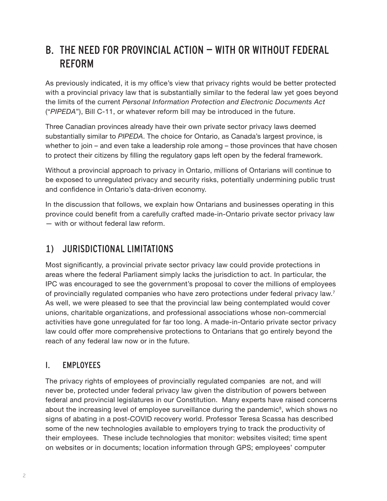## <span id="page-3-0"></span>B. THE NEED FOR PROVINCIAL ACTION — WITH OR WITHOUT FEDERAL REFORM

As previously indicated, it is my office's view that privacy rights would be better protected with a provincial privacy law that is substantially similar to the federal law yet goes beyond the limits of the current *Personal Information Protection and Electronic Documents Act*  ("*PIPEDA*"), Bill C-11, or whatever reform bill may be introduced in the future.

Three Canadian provinces already have their own private sector privacy laws deemed substantially similar to *PIPEDA*. The choice for Ontario, as Canada's largest province, is whether to join – and even take a leadership role among – those provinces that have chosen to protect their citizens by filling the regulatory gaps left open by the federal framework.

Without a provincial approach to privacy in Ontario, millions of Ontarians will continue to be exposed to unregulated privacy and security risks, potentially undermining public trust and confidence in Ontario's data-driven economy.

In the discussion that follows, we explain how Ontarians and businesses operating in this province could benefit from a carefully crafted made-in-Ontario private sector privacy law — with or without federal law reform.

## 1) JURISDICTIONAL LIMITATIONS

Most significantly, a provincial private sector privacy law could provide protections in areas where the federal Parliament simply lacks the jurisdiction to act. In particular, the IPC was encouraged to see the government's proposal to cover the millions of employees of provincially regulated companies who have zero protections under federal privacy law.[7](#page-35-0) As well, we were pleased to see that the provincial law being contemplated would cover unions, charitable organizations, and professional associations whose non-commercial activities have gone unregulated for far too long. A made-in-Ontario private sector privacy law could offer more comprehensive protections to Ontarians that go entirely beyond the reach of any federal law now or in the future.

#### I. EMPLOYEES

The privacy rights of employees of provincially regulated companies are not, and will never be, protected under federal privacy law given the distribution of powers between federal and provincial legislatures in our Constitution. Many experts have raised concerns about the increasing level of employee surveillance during the pandemic<sup>[8](#page-35-0)</sup>, which shows no signs of abating in a post-COVID recovery world. Professor Teresa Scassa has described some of the new technologies available to employers trying to track the productivity of their employees. These include technologies that monitor: websites visited; time spent on websites or in documents; location information through GPS; employees' computer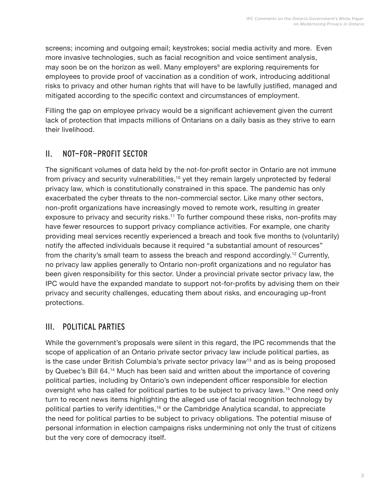<span id="page-4-0"></span>screens; incoming and outgoing email; keystrokes; social media activity and more. Even more invasive technologies, such as facial recognition and voice sentiment analysis, may soon be on the horizon as well. Many employers<sup>[9](#page-35-0)</sup> are exploring requirements for employees to provide proof of vaccination as a condition of work, introducing additional risks to privacy and other human rights that will have to be lawfully justified, managed and mitigated according to the specific context and circumstances of employment.

Filling the gap on employee privacy would be a significant achievement given the current lack of protection that impacts millions of Ontarians on a daily basis as they strive to earn their livelihood.

#### II. NOT-FOR-PROFIT SECTOR

The significant volumes of data held by the not-for-profit sector in Ontario are not immune from privacy and security vulnerabilities,<sup>[10](#page-35-0)</sup> yet they remain largely unprotected by federal privacy law, which is constitutionally constrained in this space. The pandemic has only exacerbated the cyber threats to the non-commercial sector. Like many other sectors, non-profit organizations have increasingly moved to remote work, resulting in greater exposure to privacy and security risks.<sup>[11](#page-35-0)</sup> To further compound these risks, non-profits may have fewer resources to support privacy compliance activities. For example, one charity providing meal services recently experienced a breach and took five months to (voluntarily) notify the affected individuals because it required "a substantial amount of resources" from the charity's small team to assess the breach and respond accordingly.[12](#page-35-0) Currently, no privacy law applies generally to Ontario non-profit organizations and no regulator has been given responsibility for this sector. Under a provincial private sector privacy law, the IPC would have the expanded mandate to support not-for-profits by advising them on their privacy and security challenges, educating them about risks, and encouraging up-front protections.

#### III. POLITICAL PARTIES

While the government's proposals were silent in this regard, the IPC recommends that the scope of application of an Ontario private sector privacy law include political parties, as is the case under British Columbia's private sector privacy law<sup>[13](#page-35-0)</sup> and as is being proposed by Quebec's Bill 64.[14](#page-35-0) Much has been said and written about the importance of covering political parties, including by Ontario's own independent officer responsible for election oversight who has called for political parties to be subject to privacy laws.[15](#page-35-0) One need only turn to recent news items highlighting the alleged use of facial recognition technology by political parties to verify identities,[16](#page-35-0) or the Cambridge Analytica scandal, to appreciate the need for political parties to be subject to privacy obligations. The potential misuse of personal information in election campaigns risks undermining not only the trust of citizens but the very core of democracy itself.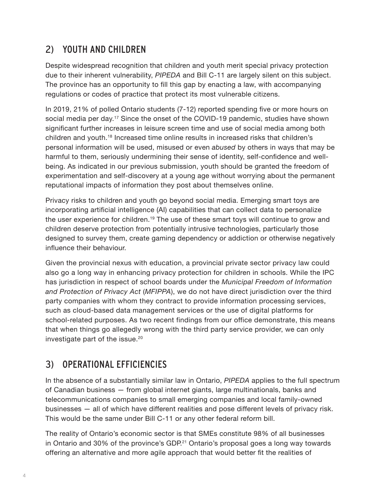## <span id="page-5-0"></span>2) YOUTH AND CHILDREN

Despite widespread recognition that children and youth merit special privacy protection due to their inherent vulnerability, *PIPEDA* and Bill C-11 are largely silent on this subject. The province has an opportunity to fill this gap by enacting a law, with accompanying regulations or codes of practice that protect its most vulnerable citizens.

In 2019, 21% of polled Ontario students (7-12) reported spending five or more hours on social media per day.<sup>[17](#page-35-0)</sup> Since the onset of the COVID-19 pandemic, studies have shown significant further increases in leisure screen time and use of social media among both children and youth.[18](#page-35-0) Increased time online results in increased risks that children's personal information will be used, misused or even *abused* by others in ways that may be harmful to them, seriously undermining their sense of identity, self-confidence and wellbeing. As indicated in our previous submission, youth should be granted the freedom of experimentation and self-discovery at a young age without worrying about the permanent reputational impacts of information they post about themselves online.

Privacy risks to children and youth go beyond social media. Emerging smart toys are incorporating artificial intelligence (AI) capabilities that can collect data to personalize the user experience for children.[19](#page-36-0) The use of these smart toys will continue to grow and children deserve protection from potentially intrusive technologies, particularly those designed to survey them, create gaming dependency or addiction or otherwise negatively influence their behaviour.

Given the provincial nexus with education, a provincial private sector privacy law could also go a long way in enhancing privacy protection for children in schools. While the IPC has jurisdiction in respect of school boards under the *Municipal Freedom of Information and Protection of Privacy Act* (*MFIPPA*), we do not have direct jurisdiction over the third party companies with whom they contract to provide information processing services, such as cloud-based data management services or the use of digital platforms for school-related purposes. As two recent findings from our office demonstrate, this means that when things go allegedly wrong with the third party service provider, we can only investigate part of the issue.<sup>[20](#page-36-0)</sup>

## 3) OPERATIONAL EFFICIENCIES

In the absence of a substantially similar law in Ontario, *PIPEDA* applies to the full spectrum of Canadian business — from global internet giants, large multinationals, banks and telecommunications companies to small emerging companies and local family-owned businesses — all of which have different realities and pose different levels of privacy risk. This would be the same under Bill C-11 or any other federal reform bill.

The reality of Ontario's economic sector is that SMEs constitute 98% of all businesses in Ontario and 30% of the province's GDP.<sup>[21](#page-36-0)</sup> Ontario's proposal goes a long way towards offering an alternative and more agile approach that would better fit the realities of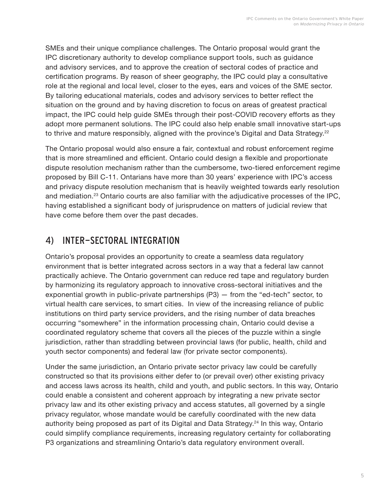<span id="page-6-0"></span>SMEs and their unique compliance challenges. The Ontario proposal would grant the IPC discretionary authority to develop compliance support tools, such as guidance and advisory services, and to approve the creation of sectoral codes of practice and certification programs. By reason of sheer geography, the IPC could play a consultative role at the regional and local level, closer to the eyes, ears and voices of the SME sector. By tailoring educational materials, codes and advisory services to better reflect the situation on the ground and by having discretion to focus on areas of greatest practical impact, the IPC could help guide SMEs through their post-COVID recovery efforts as they adopt more permanent solutions. The IPC could also help enable small innovative start-ups to thrive and mature responsibly, aligned with the province's Digital and Data Strategy.<sup>[22](#page-36-0)</sup>

The Ontario proposal would also ensure a fair, contextual and robust enforcement regime that is more streamlined and efficient. Ontario could design a flexible and proportionate dispute resolution mechanism rather than the cumbersome, two-tiered enforcement regime proposed by Bill C-11. Ontarians have more than 30 years' experience with IPC's access and privacy dispute resolution mechanism that is heavily weighted towards early resolution and mediation.[23](#page-36-0) Ontario courts are also familiar with the adjudicative processes of the IPC, having established a significant body of jurisprudence on matters of judicial review that have come before them over the past decades.

## 4) INTER-SECTORAL INTEGRATION

Ontario's proposal provides an opportunity to create a seamless data regulatory environment that is better integrated across sectors in a way that a federal law cannot practically achieve. The Ontario government can reduce red tape and regulatory burden by harmonizing its regulatory approach to innovative cross-sectoral initiatives and the exponential growth in public-private partnerships (P3) — from the "ed-tech" sector, to virtual health care services, to smart cities. In view of the increasing reliance of public institutions on third party service providers, and the rising number of data breaches occurring "somewhere" in the information processing chain, Ontario could devise a coordinated regulatory scheme that covers all the pieces of the puzzle within a single jurisdiction, rather than straddling between provincial laws (for public, health, child and youth sector components) and federal law (for private sector components).

Under the same jurisdiction, an Ontario private sector privacy law could be carefully constructed so that its provisions either defer to (or prevail over) other existing privacy and access laws across its health, child and youth, and public sectors. In this way, Ontario could enable a consistent and coherent approach by integrating a new private sector privacy law and its other existing privacy and access statutes, all governed by a single privacy regulator, whose mandate would be carefully coordinated with the new data authority being proposed as part of its Digital and Data Strategy.<sup>[24](#page-36-0)</sup> In this way, Ontario could simplify compliance requirements, increasing regulatory certainty for collaborating P3 organizations and streamlining Ontario's data regulatory environment overall.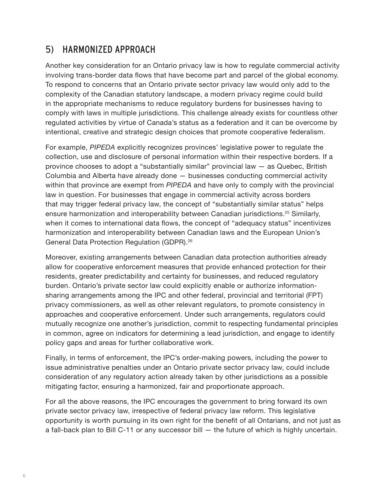### <span id="page-7-0"></span>5) HARMONIZED APPROACH

Another key consideration for an Ontario privacy law is how to regulate commercial activity involving trans-border data flows that have become part and parcel of the global economy. To respond to concerns that an Ontario private sector privacy law would only add to the complexity of the Canadian statutory landscape, a modern privacy regime could build in the appropriate mechanisms to reduce regulatory burdens for businesses having to comply with laws in multiple jurisdictions. This challenge already exists for countless other regulated activities by virtue of Canada's status as a federation and it can be overcome by intentional, creative and strategic design choices that promote cooperative federalism.

For example, *PIPEDA* explicitly recognizes provinces' legislative power to regulate the collection, use and disclosure of personal information within their respective borders. If a province chooses to adopt a "substantially similar" provincial law — as Quebec, British Columbia and Alberta have already done — businesses conducting commercial activity within that province are exempt from *PIPEDA* and have only to comply with the provincial law in question. For businesses that engage in commercial activity across borders that may trigger federal privacy law, the concept of "substantially similar status" helps ensure harmonization and interoperability between Canadian jurisdictions.<sup>[25](#page-36-0)</sup> Similarly, when it comes to international data flows, the concept of "adequacy status" incentivizes harmonization and interoperability between Canadian laws and the European Union's General Data Protection Regulation (GDPR).[26](#page-36-0)

Moreover, existing arrangements between Canadian data protection authorities already allow for cooperative enforcement measures that provide enhanced protection for their residents, greater predictability and certainty for businesses, and reduced regulatory burden. Ontario's private sector law could explicitly enable or authorize informationsharing arrangements among the IPC and other federal, provincial and territorial (FPT) privacy commissioners, as well as other relevant regulators, to promote consistency in approaches and cooperative enforcement. Under such arrangements, regulators could mutually recognize one another's jurisdiction, commit to respecting fundamental principles in common, agree on indicators for determining a lead jurisdiction, and engage to identify policy gaps and areas for further collaborative work.

Finally, in terms of enforcement, the IPC's order-making powers, including the power to issue administrative penalties under an Ontario private sector privacy law, could include consideration of any regulatory action already taken by other jurisdictions as a possible mitigating factor, ensuring a harmonized, fair and proportionate approach.

For all the above reasons, the IPC encourages the government to bring forward its own private sector privacy law, irrespective of federal privacy law reform. This legislative opportunity is worth pursuing in its own right for the benefit of all Ontarians, and not just as a fall-back plan to Bill C-11 or any successor bill — the future of which is highly uncertain.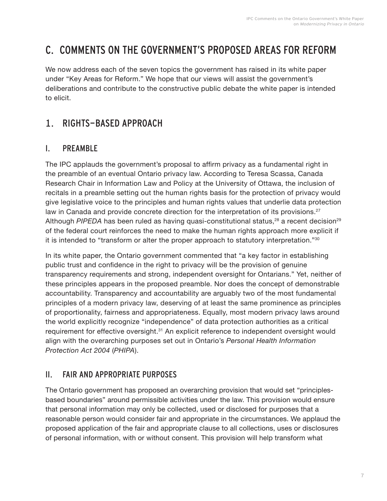## <span id="page-8-0"></span>C. COMMENTS ON THE GOVERNMENT'S PROPOSED AREAS FOR REFORM

We now address each of the seven topics the government has raised in its white paper under "Key Areas for Reform." We hope that our views will assist the government's deliberations and contribute to the constructive public debate the white paper is intended to elicit.

## 1. RIGHTS-BASED APPROACH

#### I. PREAMBLE

The IPC applauds the government's proposal to affirm privacy as a fundamental right in the preamble of an eventual Ontario privacy law. According to Teresa Scassa, Canada Research Chair in Information Law and Policy at the University of Ottawa, the inclusion of recitals in a preamble setting out the human rights basis for the protection of privacy would give legislative voice to the principles and human rights values that underlie data protection law in Canada and provide concrete direction for the interpretation of its provisions.<sup>[27](#page-36-0)</sup> Although *PIPEDA* has been ruled as having quasi-constitutional status,<sup>[28](#page-36-0)</sup> a recent decision<sup>[29](#page-36-0)</sup> of the federal court reinforces the need to make the human rights approach more explicit if it is intended to "transform or alter the proper approach to statutory interpretation."[30](#page-36-0)

In its white paper, the Ontario government commented that "a key factor in establishing public trust and confidence in the right to privacy will be the provision of genuine transparency requirements and strong, independent oversight for Ontarians." Yet, neither of these principles appears in the proposed preamble. Nor does the concept of demonstrable accountability. Transparency and accountability are arguably two of the most fundamental principles of a modern privacy law, deserving of at least the same prominence as principles of proportionality, fairness and appropriateness. Equally, most modern privacy laws around the world explicitly recognize "independence" of data protection authorities as a critical requirement for effective oversight.<sup>[31](#page-36-0)</sup> An explicit reference to independent oversight would align with the overarching purposes set out in Ontario's *Personal Health Information Protection Act 2004* (*PHIPA*).

#### II. FAIR AND APPROPRIATE PURPOSES

The Ontario government has proposed an overarching provision that would set "principlesbased boundaries" around permissible activities under the law. This provision would ensure that personal information may only be collected, used or disclosed for purposes that a reasonable person would consider fair and appropriate in the circumstances. We applaud the proposed application of the fair and appropriate clause to all collections, uses or disclosures of personal information, with or without consent. This provision will help transform what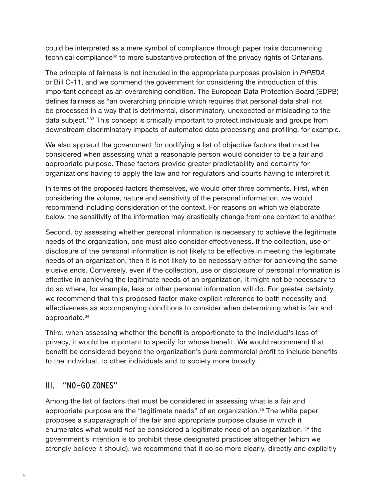<span id="page-9-0"></span>could be interpreted as a mere symbol of compliance through paper trails documenting technical compliance<sup>[32](#page-36-0)</sup> to more substantive protection of the privacy rights of Ontarians.

The principle of fairness is not included in the appropriate purposes provision in *PIPEDA*  or Bill C-11, and we commend the government for considering the introduction of this important concept as an overarching condition. The European Data Protection Board (EDPB) defines fairness as "an overarching principle which requires that personal data shall not be processed in a way that is detrimental, discriminatory, unexpected or misleading to the data subject."[33](#page-36-0) This concept is critically important to protect individuals and groups from downstream discriminatory impacts of automated data processing and profiling, for example.

We also applaud the government for codifying a list of objective factors that must be considered when assessing what a reasonable person would consider to be a fair and appropriate purpose. These factors provide greater predictability and certainty for organizations having to apply the law and for regulators and courts having to interpret it.

In terms of the proposed factors themselves, we would offer three comments. First, when considering the volume, nature and sensitivity of the personal information, we would recommend including consideration of the context. For reasons on which we elaborate below, the sensitivity of the information may drastically change from one context to another.

Second, by assessing whether personal information is necessary to achieve the legitimate needs of the organization, one must also consider effectiveness. If the collection, use or disclosure of the personal information is not likely to be effective in meeting the legitimate needs of an organization, then it is not likely to be necessary either for achieving the same elusive ends. Conversely, even if the collection, use or disclosure of personal information is effective in achieving the legitimate needs of an organization, it might not be necessary to do so where, for example, less or other personal information will do. For greater certainty, we recommend that this proposed factor make explicit reference to both necessity and effectiveness as accompanying conditions to consider when determining what is fair and appropriate.[34](#page-36-0)

Third, when assessing whether the benefit is proportionate to the individual's loss of privacy, it would be important to specify for whose benefit. We would recommend that benefit be considered beyond the organization's pure commercial profit to include benefits to the individual, to other individuals and to society more broadly.

#### III. "NO-GO ZONES"

Among the list of factors that must be considered in assessing what is a fair and appropriate purpose are the "legitimate needs" of an organization.[35](#page-36-0) The white paper proposes a subparagraph of the fair and appropriate purpose clause in which it enumerates what would *not* be considered a legitimate need of an organization. If the government's intention is to prohibit these designated practices altogether (which we strongly believe it should), we recommend that it do so more clearly, directly and explicitly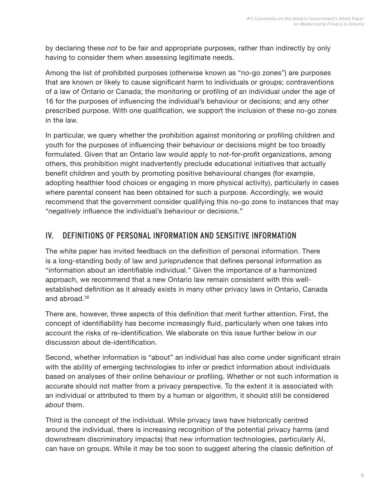<span id="page-10-0"></span>by declaring these *not* to be fair and appropriate purposes, rather than indirectly by only having to consider them when assessing legitimate needs.

Among the list of prohibited purposes (otherwise known as "no-go zones") are purposes that are known or likely to cause significant harm to individuals or groups; contraventions of a law of Ontario or Canada; the monitoring or profiling of an individual under the age of 16 for the purposes of influencing the individual's behaviour or decisions; and any other prescribed purpose. With one qualification, we support the inclusion of these no-go zones in the law.

In particular, we query whether the prohibition against monitoring or profiling children and youth for the purposes of influencing their behaviour or decisions might be too broadly formulated. Given that an Ontario law would apply to not-for-profit organizations, among others, this prohibition might inadvertently preclude educational initiatives that actually benefit children and youth by promoting positive behavioural changes (for example, adopting healthier food choices or engaging in more physical activity), particularly in cases where parental consent has been obtained for such a purpose. Accordingly, we would recommend that the government consider qualifying this no-go zone to instances that may "*negatively* influence the individual's behaviour or decisions."

#### IV. DEFINITIONS OF PERSONAL INFORMATION AND SENSITIVE INFORMATION

The white paper has invited feedback on the definition of personal information. There is a long-standing body of law and jurisprudence that defines personal information as "information about an identifiable individual." Given the importance of a harmonized approach, we recommend that a new Ontario law remain consistent with this wellestablished definition as it already exists in many other privacy laws in Ontario, Canada and abroad.[36](#page-36-0)

There are, however, three aspects of this definition that merit further attention. First, the concept of identifiability has become increasingly fluid, particularly when one takes into account the risks of re-identification. We elaborate on this issue further below in our discussion about de-identification.

Second, whether information is "about" an individual has also come under significant strain with the ability of emerging technologies to infer or predict information about individuals based on analyses of their online behaviour or profiling. Whether or not such information is accurate should not matter from a privacy perspective. To the extent it is associated with an individual or attributed to them by a human or algorithm, it should still be considered *about* them.

Third is the concept of the individual. While privacy laws have historically centred around the individual, there is increasing recognition of the potential privacy harms (and downstream discriminatory impacts) that new information technologies, particularly AI, can have on groups. While it may be too soon to suggest altering the classic definition of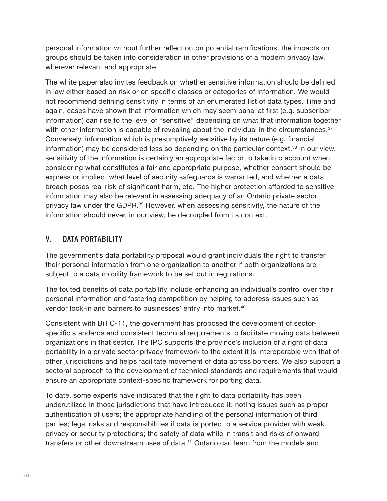<span id="page-11-0"></span>personal information without further reflection on potential ramifications, the impacts on groups should be taken into consideration in other provisions of a modern privacy law, wherever relevant and appropriate.

The white paper also invites feedback on whether sensitive information should be defined in law either based on risk or on specific classes or categories of information. We would not recommend defining sensitivity in terms of an enumerated list of data types. Time and again, cases have shown that information which may seem banal at first (e.g. subscriber information) can rise to the level of "sensitive" depending on what that information together with other information is capable of revealing about the individual in the circumstances. $37$ Conversely, information which is presumptively sensitive by its nature (e.g. financial information) may be considered less so depending on the particular context.<sup>[38](#page-36-0)</sup> In our view, sensitivity of the information is certainly an appropriate factor to take into account when considering what constitutes a fair and appropriate purpose, whether consent should be express or implied, what level of security safeguards is warranted, and whether a data breach poses real risk of significant harm, etc. The higher protection afforded to sensitive information may also be relevant in assessing adequacy of an Ontario private sector privacy law under the GDPR.<sup>[39](#page-36-0)</sup> However, when assessing sensitivity, the nature of the information should never, in our view, be decoupled from its context.

#### V. DATA PORTABILITY

The government's data portability proposal would grant individuals the right to transfer their personal information from one organization to another if both organizations are subject to a data mobility framework to be set out in regulations.

The touted benefits of data portability include enhancing an individual's control over their personal information and fostering competition by helping to address issues such as vendor lock-in and barriers to businesses' entry into market.<sup>[40](#page-36-0)</sup>

Consistent with Bill C-11, the government has proposed the development of sectorspecific standards and consistent technical requirements to facilitate moving data between organizations in that sector. The IPC supports the province's inclusion of a right of data portability in a private sector privacy framework to the extent it is interoperable with that of other jurisdictions and helps facilitate movement of data across borders. We also support a sectoral approach to the development of technical standards and requirements that would ensure an appropriate context-specific framework for porting data.

To date, some experts have indicated that the right to data portability has been underutilized in those jurisdictions that have introduced it, noting issues such as proper authentication of users; the appropriate handling of the personal information of third parties; legal risks and responsibilities if data is ported to a service provider with weak privacy or security protections; the safety of data while in transit and risks of onward transfers or other downstream uses of data.[41](#page-36-0) Ontario can learn from the models and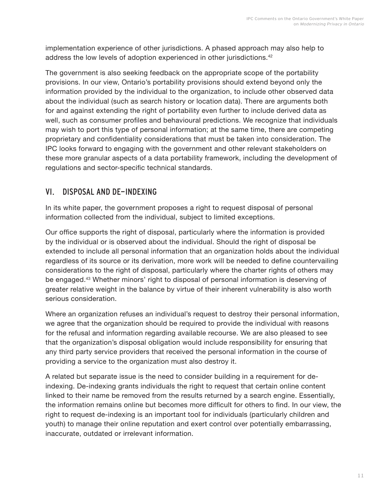<span id="page-12-0"></span>implementation experience of other jurisdictions. A phased approach may also help to address the low levels of adoption experienced in other jurisdictions.<sup>[42](#page-37-0)</sup>

The government is also seeking feedback on the appropriate scope of the portability provisions. In our view, Ontario's portability provisions should extend beyond only the information provided by the individual to the organization, to include other observed data about the individual (such as search history or location data). There are arguments both for and against extending the right of portability even further to include derived data as well, such as consumer profiles and behavioural predictions. We recognize that individuals may wish to port this type of personal information; at the same time, there are competing proprietary and confidentiality considerations that must be taken into consideration. The IPC looks forward to engaging with the government and other relevant stakeholders on these more granular aspects of a data portability framework, including the development of regulations and sector-specific technical standards.

#### VI. DISPOSAL AND DE-INDEXING

In its white paper, the government proposes a right to request disposal of personal information collected from the individual, subject to limited exceptions.

Our office supports the right of disposal, particularly where the information is provided by the individual or is observed about the individual. Should the right of disposal be extended to include all personal information that an organization holds about the individual regardless of its source or its derivation, more work will be needed to define countervailing considerations to the right of disposal, particularly where the charter rights of others may be engaged.[43](#page-37-0) Whether minors' right to disposal of personal information is deserving of greater relative weight in the balance by virtue of their inherent vulnerability is also worth serious consideration.

Where an organization refuses an individual's request to destroy their personal information, we agree that the organization should be required to provide the individual with reasons for the refusal and information regarding available recourse. We are also pleased to see that the organization's disposal obligation would include responsibility for ensuring that any third party service providers that received the personal information in the course of providing a service to the organization must also destroy it.

A related but separate issue is the need to consider building in a requirement for deindexing. De-indexing grants individuals the right to request that certain online content linked to their name be removed from the results returned by a search engine. Essentially, the information remains online but becomes more difficult for others to find. In our view, the right to request de-indexing is an important tool for individuals (particularly children and youth) to manage their online reputation and exert control over potentially embarrassing, inaccurate, outdated or irrelevant information.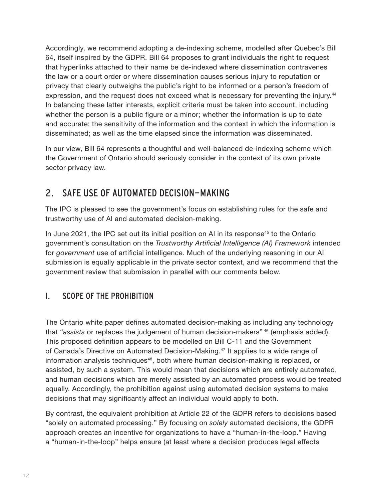<span id="page-13-0"></span>Accordingly, we recommend adopting a de-indexing scheme, modelled after Quebec's Bill 64, itself inspired by the GDPR. Bill 64 proposes to grant individuals the right to request that hyperlinks attached to their name be de-indexed where dissemination contravenes the law or a court order or where dissemination causes serious injury to reputation or privacy that clearly outweighs the public's right to be informed or a person's freedom of expression, and the request does not exceed what is necessary for preventing the injury.<sup>[44](#page-37-0)</sup> In balancing these latter interests, explicit criteria must be taken into account, including whether the person is a public figure or a minor; whether the information is up to date and accurate; the sensitivity of the information and the context in which the information is disseminated; as well as the time elapsed since the information was disseminated.

In our view, Bill 64 represents a thoughtful and well-balanced de-indexing scheme which the Government of Ontario should seriously consider in the context of its own private sector privacy law.

## 2. SAFE USE OF AUTOMATED DECISION-MAKING

The IPC is pleased to see the government's focus on establishing rules for the safe and trustworthy use of AI and automated decision-making.

In June 2021, the IPC set out its initial position on AI in its response<sup>[45](#page-37-0)</sup> to the Ontario government's consultation on the *Trustworthy Artificial Intelligence (AI) Framework* intended for *government* use of artificial intelligence. Much of the underlying reasoning in our AI submission is equally applicable in the private sector context, and we recommend that the government review that submission in parallel with our comments below.

#### I. SCOPE OF THE PROHIBITION

The Ontario white paper defines automated decision-making as including any technology that "*assists* or replaces the judgement of human decision-makers" [46](#page-37-0) (emphasis added). This proposed definition appears to be modelled on Bill C-11 and the Government of Canada's Directive on Automated Decision-Making.<sup>[47](#page-37-0)</sup> It applies to a wide range of information analysis techniques<sup>[48](#page-37-0)</sup>, both where human decision-making is replaced, or assisted, by such a system. This would mean that decisions which are entirely automated, and human decisions which are merely assisted by an automated process would be treated equally. Accordingly, the prohibition against using automated decision systems to make decisions that may significantly affect an individual would apply to both.

By contrast, the equivalent prohibition at Article 22 of the GDPR refers to decisions based "solely on automated processing." By focusing on *solely* automated decisions, the GDPR approach creates an incentive for organizations to have a "human-in-the-loop." Having a "human-in-the-loop" helps ensure (at least where a decision produces legal effects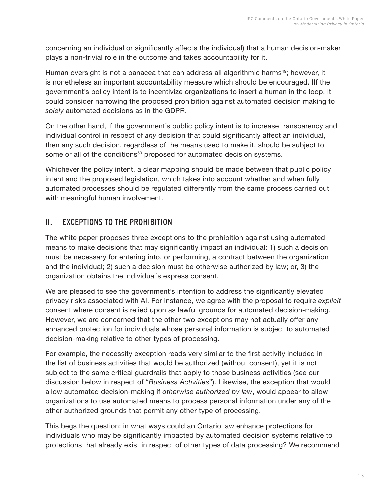<span id="page-14-0"></span>concerning an individual or significantly affects the individual) that a human decision-maker plays a non-trivial role in the outcome and takes accountability for it.

Human oversight is not a panacea that can address all algorithmic harms<sup>[49](#page-37-0)</sup>; however, it is nonetheless an important accountability measure which should be encouraged. IIf the government's policy intent is to incentivize organizations to insert a human in the loop, it could consider narrowing the proposed prohibition against automated decision making to *solely* automated decisions as in the GDPR.

On the other hand, if the government's public policy intent is to increase transparency and individual control in respect of *any* decision that could significantly affect an individual, then any such decision, regardless of the means used to make it, should be subject to some or all of the conditions<sup>[50](#page-37-0)</sup> proposed for automated decision systems.

Whichever the policy intent, a clear mapping should be made between that public policy intent and the proposed legislation, which takes into account whether and when fully automated processes should be regulated differently from the same process carried out with meaningful human involvement.

#### II. EXCEPTIONS TO THE PROHIBITION

The white paper proposes three exceptions to the prohibition against using automated means to make decisions that may significantly impact an individual: 1) such a decision must be necessary for entering into, or performing, a contract between the organization and the individual; 2) such a decision must be otherwise authorized by law; or, 3) the organization obtains the individual's express consent.

We are pleased to see the government's intention to address the significantly elevated privacy risks associated with AI. For instance, we agree with the proposal to require *explicit* consent where consent is relied upon as lawful grounds for automated decision-making. However, we are concerned that the other two exceptions may not actually offer any enhanced protection for individuals whose personal information is subject to automated decision-making relative to other types of processing.

For example, the necessity exception reads very similar to the first activity included in the list of business activities that would be authorized (without consent), yet it is not subject to the same critical guardrails that apply to those business activities (see our discussion below in respect of "*Business Activities*"). Likewise, the exception that would allow automated decision-making if *otherwise authorized by law*, would appear to allow organizations to use automated means to process personal information under any of the other authorized grounds that permit any other type of processing.

This begs the question: in what ways could an Ontario law enhance protections for individuals who may be significantly impacted by automated decision systems relative to protections that already exist in respect of other types of data processing? We recommend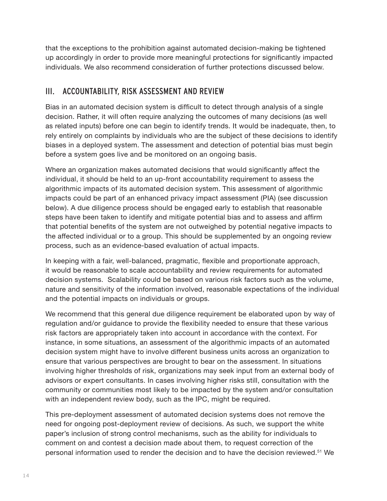<span id="page-15-0"></span>that the exceptions to the prohibition against automated decision-making be tightened up accordingly in order to provide more meaningful protections for significantly impacted individuals. We also recommend consideration of further protections discussed below.

#### III. ACCOUNTABILITY, RISK ASSESSMENT AND REVIEW

Bias in an automated decision system is difficult to detect through analysis of a single decision. Rather, it will often require analyzing the outcomes of many decisions (as well as related inputs) before one can begin to identify trends. It would be inadequate, then, to rely entirely on complaints by individuals who are the subject of these decisions to identify biases in a deployed system. The assessment and detection of potential bias must begin before a system goes live and be monitored on an ongoing basis.

Where an organization makes automated decisions that would significantly affect the individual, it should be held to an up-front accountability requirement to assess the algorithmic impacts of its automated decision system. This assessment of algorithmic impacts could be part of an enhanced privacy impact assessment (PIA) (see discussion below). A due diligence process should be engaged early to establish that reasonable steps have been taken to identify and mitigate potential bias and to assess and affirm that potential benefits of the system are not outweighed by potential negative impacts to the affected individual or to a group. This should be supplemented by an ongoing review process, such as an evidence-based evaluation of actual impacts.

In keeping with a fair, well-balanced, pragmatic, flexible and proportionate approach, it would be reasonable to scale accountability and review requirements for automated decision systems. Scalability could be based on various risk factors such as the volume, nature and sensitivity of the information involved, reasonable expectations of the individual and the potential impacts on individuals or groups.

We recommend that this general due diligence requirement be elaborated upon by way of regulation and/or guidance to provide the flexibility needed to ensure that these various risk factors are appropriately taken into account in accordance with the context. For instance, in some situations, an assessment of the algorithmic impacts of an automated decision system might have to involve different business units across an organization to ensure that various perspectives are brought to bear on the assessment. In situations involving higher thresholds of risk, organizations may seek input from an external body of advisors or expert consultants. In cases involving higher risks still, consultation with the community or communities most likely to be impacted by the system and/or consultation with an independent review body, such as the IPC, might be required.

This pre-deployment assessment of automated decision systems does not remove the need for ongoing post-deployment review of decisions. As such, we support the white paper's inclusion of strong control mechanisms, such as the ability for individuals to comment on and contest a decision made about them, to request correction of the personal information used to render the decision and to have the decision reviewed.[51](#page-37-0) We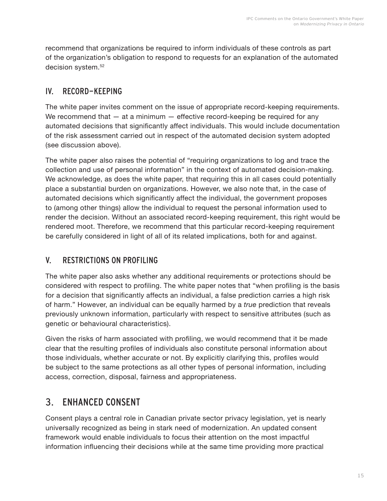<span id="page-16-0"></span>recommend that organizations be required to inform individuals of these controls as part of the organization's obligation to respond to requests for an explanation of the automated decision system.<sup>[52](#page-37-0)</sup>

#### IV. RECORD-KEEPING

The white paper invites comment on the issue of appropriate record-keeping requirements. We recommend that  $-$  at a minimum  $-$  effective record-keeping be required for any automated decisions that significantly affect individuals. This would include documentation of the risk assessment carried out in respect of the automated decision system adopted (see discussion above).

The white paper also raises the potential of "requiring organizations to log and trace the collection and use of personal information" in the context of automated decision-making. We acknowledge, as does the white paper, that requiring this in all cases could potentially place a substantial burden on organizations. However, we also note that, in the case of automated decisions which significantly affect the individual, the government proposes to (among other things) allow the individual to request the personal information used to render the decision. Without an associated record-keeping requirement, this right would be rendered moot. Therefore, we recommend that this particular record-keeping requirement be carefully considered in light of all of its related implications, both for and against.

#### V. RESTRICTIONS ON PROFILING

The white paper also asks whether any additional requirements or protections should be considered with respect to profiling. The white paper notes that "when profiling is the basis for a decision that significantly affects an individual, a false prediction carries a high risk of harm." However, an individual can be equally harmed by a *true* prediction that reveals previously unknown information, particularly with respect to sensitive attributes (such as genetic or behavioural characteristics).

Given the risks of harm associated with profiling, we would recommend that it be made clear that the resulting profiles of individuals also constitute personal information about those individuals, whether accurate or not. By explicitly clarifying this, profiles would be subject to the same protections as all other types of personal information, including access, correction, disposal, fairness and appropriateness.

## 3. ENHANCED CONSENT

Consent plays a central role in Canadian private sector privacy legislation, yet is nearly universally recognized as being in stark need of modernization. An updated consent framework would enable individuals to focus their attention on the most impactful information influencing their decisions while at the same time providing more practical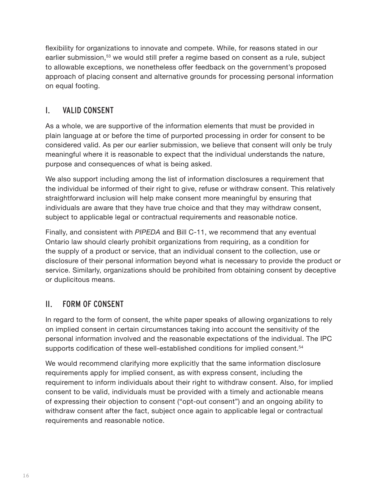<span id="page-17-0"></span>flexibility for organizations to innovate and compete. While, for reasons stated in our earlier submission,<sup>[53](#page-37-0)</sup> we would still prefer a regime based on consent as a rule, subject to allowable exceptions, we nonetheless offer feedback on the government's proposed approach of placing consent and alternative grounds for processing personal information on equal footing.

#### I. VALID CONSENT

As a whole, we are supportive of the information elements that must be provided in plain language at or before the time of purported processing in order for consent to be considered valid. As per our earlier submission, we believe that consent will only be truly meaningful where it is reasonable to expect that the individual understands the nature, purpose and consequences of what is being asked.

We also support including among the list of information disclosures a requirement that the individual be informed of their right to give, refuse or withdraw consent. This relatively straightforward inclusion will help make consent more meaningful by ensuring that individuals are aware that they have true choice and that they may withdraw consent, subject to applicable legal or contractual requirements and reasonable notice.

Finally, and consistent with *PIPEDA* and Bill C-11, we recommend that any eventual Ontario law should clearly prohibit organizations from requiring, as a condition for the supply of a product or service, that an individual consent to the collection, use or disclosure of their personal information beyond what is necessary to provide the product or service. Similarly, organizations should be prohibited from obtaining consent by deceptive or duplicitous means.

#### II. FORM OF CONSENT

In regard to the form of consent, the white paper speaks of allowing organizations to rely on implied consent in certain circumstances taking into account the sensitivity of the personal information involved and the reasonable expectations of the individual. The IPC supports codification of these well-established conditions for implied consent.<sup>[54](#page-37-0)</sup>

We would recommend clarifying more explicitly that the same information disclosure requirements apply for implied consent, as with express consent, including the requirement to inform individuals about their right to withdraw consent. Also, for implied consent to be valid, individuals must be provided with a timely and actionable means of expressing their objection to consent ("opt-out consent") and an ongoing ability to withdraw consent after the fact, subject once again to applicable legal or contractual requirements and reasonable notice.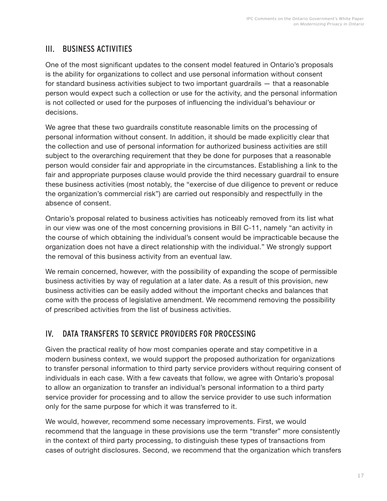#### <span id="page-18-0"></span>III. BUSINESS ACTIVITIES

One of the most significant updates to the consent model featured in Ontario's proposals is the ability for organizations to collect and use personal information without consent for standard business activities subject to two important guardrails — that a reasonable person would expect such a collection or use for the activity, and the personal information is not collected or used for the purposes of influencing the individual's behaviour or decisions.

We agree that these two guardrails constitute reasonable limits on the processing of personal information without consent. In addition, it should be made explicitly clear that the collection and use of personal information for authorized business activities are still subject to the overarching requirement that they be done for purposes that a reasonable person would consider fair and appropriate in the circumstances. Establishing a link to the fair and appropriate purposes clause would provide the third necessary guardrail to ensure these business activities (most notably, the "exercise of due diligence to prevent or reduce the organization's commercial risk") are carried out responsibly and respectfully in the absence of consent.

Ontario's proposal related to business activities has noticeably removed from its list what in our view was one of the most concerning provisions in Bill C-11, namely "an activity in the course of which obtaining the individual's consent would be impracticable because the organization does not have a direct relationship with the individual." We strongly support the removal of this business activity from an eventual law.

We remain concerned, however, with the possibility of expanding the scope of permissible business activities by way of regulation at a later date. As a result of this provision, new business activities can be easily added without the important checks and balances that come with the process of legislative amendment. We recommend removing the possibility of prescribed activities from the list of business activities.

#### IV. DATA TRANSFERS TO SERVICE PROVIDERS FOR PROCESSING

Given the practical reality of how most companies operate and stay competitive in a modern business context, we would support the proposed authorization for organizations to transfer personal information to third party service providers without requiring consent of individuals in each case. With a few caveats that follow, we agree with Ontario's proposal to allow an organization to transfer an individual's personal information to a third party service provider for processing and to allow the service provider to use such information only for the same purpose for which it was transferred to it.

We would, however, recommend some necessary improvements. First, we would recommend that the language in these provisions use the term "transfer" more consistently in the context of third party processing, to distinguish these types of transactions from cases of outright disclosures. Second, we recommend that the organization which transfers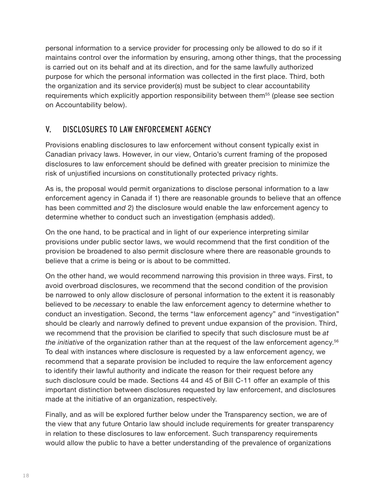<span id="page-19-0"></span>personal information to a service provider for processing only be allowed to do so if it maintains control over the information by ensuring, among other things, that the processing is carried out on its behalf and at its direction, and for the same lawfully authorized purpose for which the personal information was collected in the first place. Third, both the organization and its service provider(s) must be subject to clear accountability requirements which explicitly apportion responsibility between them<sup>[55](#page-37-0)</sup> (please see section on Accountability below).

#### V. DISCLOSURES TO LAW ENFORCEMENT AGENCY

Provisions enabling disclosures to law enforcement without consent typically exist in Canadian privacy laws. However, in our view, Ontario's current framing of the proposed disclosures to law enforcement should be defined with greater precision to minimize the risk of unjustified incursions on constitutionally protected privacy rights.

As is, the proposal would permit organizations to disclose personal information to a law enforcement agency in Canada if 1) there are reasonable grounds to believe that an offence has been committed *and* 2) the disclosure would enable the law enforcement agency to determine whether to conduct such an investigation (emphasis added).

On the one hand, to be practical and in light of our experience interpreting similar provisions under public sector laws, we would recommend that the first condition of the provision be broadened to also permit disclosure where there are reasonable grounds to believe that a crime is being or is about to be committed.

On the other hand, we would recommend narrowing this provision in three ways. First, to avoid overbroad disclosures, we recommend that the second condition of the provision be narrowed to only allow disclosure of personal information to the extent it is reasonably believed to be *necessary* to enable the law enforcement agency to determine whether to conduct an investigation. Second, the terms "law enforcement agency" and "investigation" should be clearly and narrowly defined to prevent undue expansion of the provision. Third, we recommend that the provision be clarified to specify that such disclosure must be *at the initiative* of the organization rather than at the request of the law enforcement agency.[56](#page-37-0) To deal with instances where disclosure is requested by a law enforcement agency, we recommend that a separate provision be included to require the law enforcement agency to identify their lawful authority and indicate the reason for their request before any such disclosure could be made. Sections 44 and 45 of Bill C-11 offer an example of this important distinction between disclosures requested by law enforcement, and disclosures made at the initiative of an organization, respectively.

Finally, and as will be explored further below under the Transparency section, we are of the view that any future Ontario law should include requirements for greater transparency in relation to these disclosures to law enforcement. Such transparency requirements would allow the public to have a better understanding of the prevalence of organizations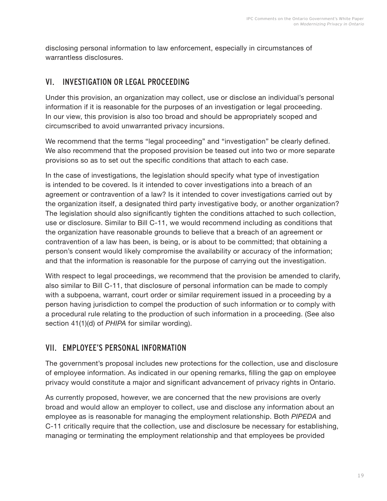<span id="page-20-0"></span>disclosing personal information to law enforcement, especially in circumstances of warrantless disclosures.

#### VI. INVESTIGATION OR LEGAL PROCEEDING

Under this provision, an organization may collect, use or disclose an individual's personal information if it is reasonable for the purposes of an investigation or legal proceeding. In our view, this provision is also too broad and should be appropriately scoped and circumscribed to avoid unwarranted privacy incursions.

We recommend that the terms "legal proceeding" and "investigation" be clearly defined. We also recommend that the proposed provision be teased out into two or more separate provisions so as to set out the specific conditions that attach to each case.

In the case of investigations, the legislation should specify what type of investigation is intended to be covered. Is it intended to cover investigations into a breach of an agreement or contravention of a law? Is it intended to cover investigations carried out by the organization itself, a designated third party investigative body, or another organization? The legislation should also significantly tighten the conditions attached to such collection, use or disclosure. Similar to Bill C-11, we would recommend including as conditions that the organization have reasonable grounds to believe that a breach of an agreement or contravention of a law has been, is being, or is about to be committed; that obtaining a person's consent would likely compromise the availability or accuracy of the information; and that the information is reasonable for the purpose of carrying out the investigation.

With respect to legal proceedings, we recommend that the provision be amended to clarify, also similar to Bill C-11, that disclosure of personal information can be made to comply with a subpoena, warrant, court order or similar requirement issued in a proceeding by a person having jurisdiction to compel the production of such information or to comply with a procedural rule relating to the production of such information in a proceeding. (See also section 41(1)(d) of *PHIPA* for similar wording).

#### VII. EMPLOYEE'S PERSONAL INFORMATION

The government's proposal includes new protections for the collection, use and disclosure of employee information. As indicated in our opening remarks, filling the gap on employee privacy would constitute a major and significant advancement of privacy rights in Ontario.

As currently proposed, however, we are concerned that the new provisions are overly broad and would allow an employer to collect, use and disclose any information about an employee as is reasonable for managing the employment relationship. Both *PIPEDA* and C-11 critically require that the collection, use and disclosure be necessary for establishing, managing or terminating the employment relationship and that employees be provided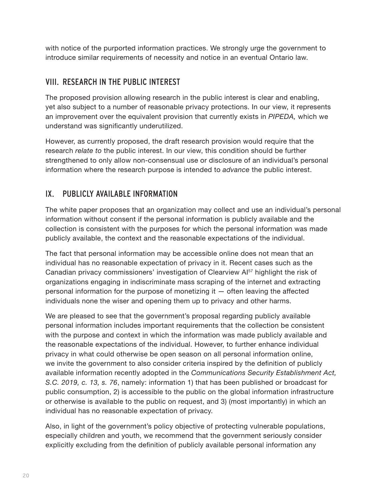<span id="page-21-0"></span>with notice of the purported information practices. We strongly urge the government to introduce similar requirements of necessity and notice in an eventual Ontario law.

#### VIII. RESEARCH IN THE PUBLIC INTEREST

The proposed provision allowing research in the public interest is clear and enabling, yet also subject to a number of reasonable privacy protections. In our view, it represents an improvement over the equivalent provision that currently exists in *PIPEDA,* which we understand was significantly underutilized.

However, as currently proposed, the draft research provision would require that the research *relate to* the public interest. In our view, this condition should be further strengthened to only allow non-consensual use or disclosure of an individual's personal information where the research purpose is intended to *advance* the public interest.

#### IX. PUBLICLY AVAILABLE INFORMATION

The white paper proposes that an organization may collect and use an individual's personal information without consent if the personal information is publicly available and the collection is consistent with the purposes for which the personal information was made publicly available, the context and the reasonable expectations of the individual.

The fact that personal information may be accessible online does not mean that an individual has no reasonable expectation of privacy in it. Recent cases such as the Canadian privacy commissioners' investigation of Clearview AI[57](#page-37-0) highlight the risk of organizations engaging in indiscriminate mass scraping of the internet and extracting personal information for the purpose of monetizing it — often leaving the affected individuals none the wiser and opening them up to privacy and other harms.

We are pleased to see that the government's proposal regarding publicly available personal information includes important requirements that the collection be consistent with the purpose and context in which the information was made publicly available and the reasonable expectations of the individual. However, to further enhance individual privacy in what could otherwise be open season on all personal information online, we invite the government to also consider criteria inspired by the definition of publicly available information recently adopted in the *Communications Security Establishment Act, S.C. 2019, c. 13, s. 76*, namely: information 1) that has been published or broadcast for public consumption, 2) is accessible to the public on the global information infrastructure or otherwise is available to the public on request, and 3) (most importantly) in which an individual has no reasonable expectation of privacy.

Also, in light of the government's policy objective of protecting vulnerable populations, especially children and youth, we recommend that the government seriously consider explicitly excluding from the definition of publicly available personal information any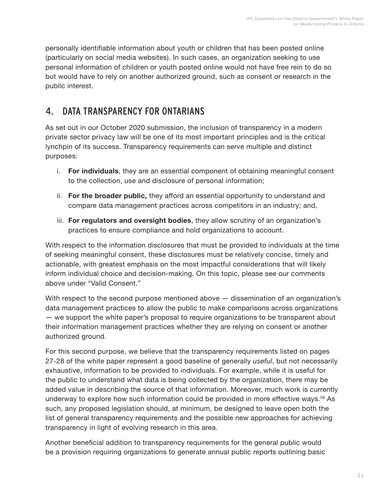<span id="page-22-0"></span>personally identifiable information about youth or children that has been posted online (particularly on social media websites). In such cases, an organization seeking to use personal information of children or youth posted online would not have free rein to do so but would have to rely on another authorized ground, such as consent or research in the public interest.

## 4. DATA TRANSPARENCY FOR ONTARIANS

As set out in our October 2020 submission, the inclusion of transparency in a modern private sector privacy law will be one of its most important principles and is the critical lynchpin of its success. Transparency requirements can serve multiple and distinct purposes:

- i. **For individuals**, they are an essential component of obtaining meaningful consent to the collection, use and disclosure of personal information;
- ii. **For the broader public,** they afford an essential opportunity to understand and compare data management practices across competitors in an industry; and,
- iii. **For regulators and oversight bodies**, they allow scrutiny of an organization's practices to ensure compliance and hold organizations to account.

With respect to the information disclosures that must be provided to individuals at the time of seeking meaningful consent, these disclosures must be relatively concise, timely and actionable, with greatest emphasis on the most impactful considerations that will likely inform individual choice and decision-making. On this topic, please see our comments above under "Valid Consent."

With respect to the second purpose mentioned above  $-$  dissemination of an organization's data management practices to allow the public to make comparisons across organizations — we support the white paper's proposal to require organizations to be transparent about their information management practices whether they are relying on consent or another authorized ground.

For this second purpose, we believe that the transparency requirements listed on pages 27-28 of the white paper represent a good baseline of generally *useful*, but not necessarily exhaustive, information to be provided to individuals. For example, while it is useful for the public to understand what data is being collected by the organization, there may be added value in describing the source of that information. Moreover, much work is currently underway to explore how such information could be provided in more effective ways.[58](#page-37-0) As such, any proposed legislation should, at minimum, be designed to leave open both the list of general transparency requirements and the possible new approaches for achieving transparency in light of evolving research in this area.

Another beneficial addition to transparency requirements for the general public would be a provision requiring organizations to generate annual public reports outlining basic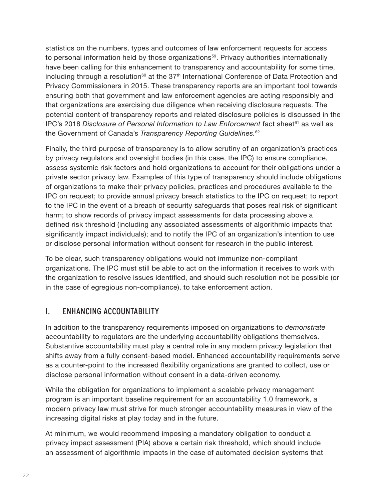<span id="page-23-0"></span>statistics on the numbers, types and outcomes of law enforcement requests for access to personal information held by those organizations<sup>[59](#page-38-0)</sup>. Privacy authorities internationally have been calling for this enhancement to transparency and accountability for some time, including through a resolution<sup>[60](#page-38-0)</sup> at the  $37<sup>th</sup>$  International Conference of Data Protection and Privacy Commissioners in 2015. These transparency reports are an important tool towards ensuring both that government and law enforcement agencies are acting responsibly and that organizations are exercising due diligence when receiving disclosure requests. The potential content of transparency reports and related disclosure policies is discussed in the IPC's 2018 *Disclosure of Personal Information to Law Enforcement* fact sheet<sup>[61](#page-38-0)</sup> as well as the Government of Canada's *Transparency Reporting Guidelines.*[62](#page-38-0)

Finally, the third purpose of transparency is to allow scrutiny of an organization's practices by privacy regulators and oversight bodies (in this case, the IPC) to ensure compliance, assess systemic risk factors and hold organizations to account for their obligations under a private sector privacy law. Examples of this type of transparency should include obligations of organizations to make their privacy policies, practices and procedures available to the IPC on request; to provide annual privacy breach statistics to the IPC on request; to report to the IPC in the event of a breach of security safeguards that poses real risk of significant harm; to show records of privacy impact assessments for data processing above a defined risk threshold (including any associated assessments of algorithmic impacts that significantly impact individuals); and to notify the IPC of an organization's intention to use or disclose personal information without consent for research in the public interest.

To be clear, such transparency obligations would not immunize non-compliant organizations. The IPC must still be able to act on the information it receives to work with the organization to resolve issues identified, and should such resolution not be possible (or in the case of egregious non-compliance), to take enforcement action.

#### I. ENHANCING ACCOUNTABILITY

In addition to the transparency requirements imposed on organizations to *demonstrate* accountability to regulators are the underlying accountability obligations themselves. Substantive accountability must play a central role in any modern privacy legislation that shifts away from a fully consent-based model. Enhanced accountability requirements serve as a counter-point to the increased flexibility organizations are granted to collect, use or disclose personal information without consent in a data-driven economy.

While the obligation for organizations to implement a scalable privacy management program is an important baseline requirement for an accountability 1.0 framework, a modern privacy law must strive for much stronger accountability measures in view of the increasing digital risks at play today and in the future.

At minimum, we would recommend imposing a mandatory obligation to conduct a privacy impact assessment (PIA) above a certain risk threshold, which should include an assessment of algorithmic impacts in the case of automated decision systems that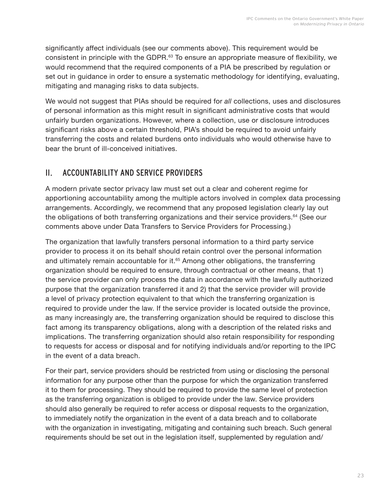<span id="page-24-0"></span>significantly affect individuals (see our comments above). This requirement would be consistent in principle with the GDPR.[63](#page-38-0) To ensure an appropriate measure of flexibility, we would recommend that the required components of a PIA be prescribed by regulation or set out in guidance in order to ensure a systematic methodology for identifying, evaluating, mitigating and managing risks to data subjects.

We would not suggest that PIAs should be required for *all* collections, uses and disclosures of personal information as this might result in significant administrative costs that would unfairly burden organizations. However, where a collection, use or disclosure introduces significant risks above a certain threshold, PIA's should be required to avoid unfairly transferring the costs and related burdens onto individuals who would otherwise have to bear the brunt of ill-conceived initiatives.

#### II. ACCOUNTABILITY AND SERVICE PROVIDERS

A modern private sector privacy law must set out a clear and coherent regime for apportioning accountability among the multiple actors involved in complex data processing arrangements. Accordingly, we recommend that any proposed legislation clearly lay out the obligations of both transferring organizations and their service providers.<sup>[64](#page-38-0)</sup> (See our comments above under Data Transfers to Service Providers for Processing.)

The organization that lawfully transfers personal information to a third party service provider to process it on its behalf should retain control over the personal information and ultimately remain accountable for it.<sup>[65](#page-38-0)</sup> Among other obligations, the transferring organization should be required to ensure, through contractual or other means, that 1) the service provider can only process the data in accordance with the lawfully authorized purpose that the organization transferred it and 2) that the service provider will provide a level of privacy protection equivalent to that which the transferring organization is required to provide under the law. If the service provider is located outside the province, as many increasingly are, the transferring organization should be required to disclose this fact among its transparency obligations, along with a description of the related risks and implications. The transferring organization should also retain responsibility for responding to requests for access or disposal and for notifying individuals and/or reporting to the IPC in the event of a data breach.

For their part, service providers should be restricted from using or disclosing the personal information for any purpose other than the purpose for which the organization transferred it to them for processing. They should be required to provide the same level of protection as the transferring organization is obliged to provide under the law. Service providers should also generally be required to refer access or disposal requests to the organization, to immediately notify the organization in the event of a data breach and to collaborate with the organization in investigating, mitigating and containing such breach. Such general requirements should be set out in the legislation itself, supplemented by regulation and/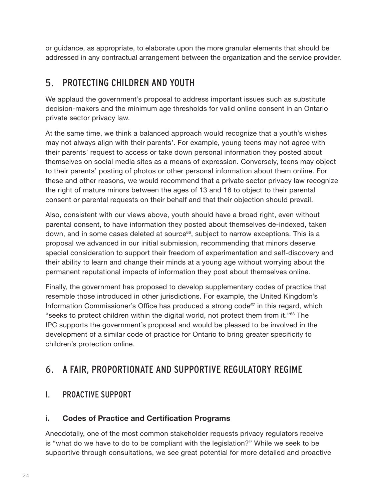<span id="page-25-0"></span>or guidance, as appropriate, to elaborate upon the more granular elements that should be addressed in any contractual arrangement between the organization and the service provider.

### 5. PROTECTING CHILDREN AND YOUTH

We applaud the government's proposal to address important issues such as substitute decision-makers and the minimum age thresholds for valid online consent in an Ontario private sector privacy law.

At the same time, we think a balanced approach would recognize that a youth's wishes may not always align with their parents'. For example, young teens may not agree with their parents' request to access or take down personal information they posted about themselves on social media sites as a means of expression. Conversely, teens may object to their parents' posting of photos or other personal information about them online. For these and other reasons, we would recommend that a private sector privacy law recognize the right of mature minors between the ages of 13 and 16 to object to their parental consent or parental requests on their behalf and that their objection should prevail.

Also, consistent with our views above, youth should have a broad right, even without parental consent, to have information they posted about themselves de-indexed, taken down, and in some cases deleted at source<sup>[66](#page-38-0)</sup>, subject to narrow exceptions. This is a proposal we advanced in our initial submission, recommending that minors deserve special consideration to support their freedom of experimentation and self-discovery and their ability to learn and change their minds at a young age without worrying about the permanent reputational impacts of information they post about themselves online.

Finally, the government has proposed to develop supplementary codes of practice that resemble those introduced in other jurisdictions. For example, the United Kingdom's Information Commissioner's Office has produced a strong code*[67](#page-38-0)* in this regard, which "seeks to protect children within the digital world, not protect them from it."[68](#page-38-0) The IPC supports the government's proposal and would be pleased to be involved in the development of a similar code of practice for Ontario to bring greater specificity to children's protection online.

## 6. A FAIR, PROPORTIONATE AND SUPPORTIVE REGULATORY REGIME

#### I. PROACTIVE SUPPORT

#### **i. Codes of Practice and Certification Programs**

Anecdotally, one of the most common stakeholder requests privacy regulators receive is "what do we have to do to be compliant with the legislation?" While we seek to be supportive through consultations, we see great potential for more detailed and proactive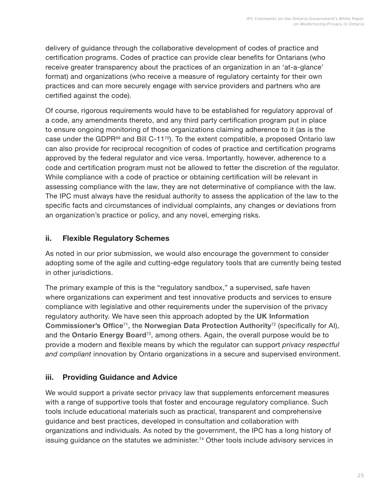<span id="page-26-0"></span>delivery of guidance through the collaborative development of codes of practice and certification programs. Codes of practice can provide clear benefits for Ontarians (who receive greater transparency about the practices of an organization in an 'at-a-glance' format) and organizations (who receive a measure of regulatory certainty for their own practices and can more securely engage with service providers and partners who are certified against the code).

Of course, rigorous requirements would have to be established for regulatory approval of a code, any amendments thereto, and any third party certification program put in place to ensure ongoing monitoring of those organizations claiming adherence to it (as is the case under the GDPR $^{69}$  $^{69}$  $^{69}$  and Bill C-11<sup>[70](#page-38-0)</sup>). To the extent compatible, a proposed Ontario law can also provide for reciprocal recognition of codes of practice and certification programs approved by the federal regulator and vice versa. Importantly, however, adherence to a code and certification program must not be allowed to fetter the discretion of the regulator. While compliance with a code of practice or obtaining certification will be relevant in assessing compliance with the law, they are not determinative of compliance with the law. The IPC must always have the residual authority to assess the application of the law to the specific facts and circumstances of individual complaints, any changes or deviations from an organization's practice or policy, and any novel, emerging risks.

#### **ii. Flexible Regulatory Schemes**

As noted in our prior submission, we would also encourage the government to consider adopting some of the agile and cutting-edge regulatory tools that are currently being tested in other jurisdictions.

The primary example of this is the "regulatory sandbox," a supervised, safe haven where organizations can experiment and test innovative products and services to ensure compliance with legislative and other requirements under the supervision of the privacy regulatory authority. We have seen this approach adopted by the **UK [Information](https://ico.org.uk/media/about-the-ico/documents/2614219/sandbox-discussion-paper-20190130.pdf) [Commissioner's](https://ico.org.uk/media/about-the-ico/documents/2614219/sandbox-discussion-paper-20190130.pdf) Office**[71](#page-38-0), the **[Norwegian Data Protection Authority](https://www.datatilsynet.no/en/regulations-and-tools/sandbox-for-artificial-intelligence/)**[72](#page-39-0) (specifically for AI), and the **[Ontario](https://www.oeb.ca/_html/sandbox/index.php) Energy Board**[73](#page-39-0), among others. Again, the overall purpose would be to provide a modern and flexible means by which the regulator can support *privacy respectful and compliant* innovation by Ontario organizations in a secure and supervised environment.

#### **iii. Providing Guidance and Advice**

We would support a private sector privacy law that supplements enforcement measures with a range of supportive tools that foster and encourage regulatory compliance. Such tools include educational materials such as practical, transparent and comprehensive guidance and best practices, developed in consultation and collaboration with organizations and individuals. As noted by the government, the IPC has a long history of issuing guidance on the statutes we administer.<sup>[74](#page-39-0)</sup> Other tools include advisory services in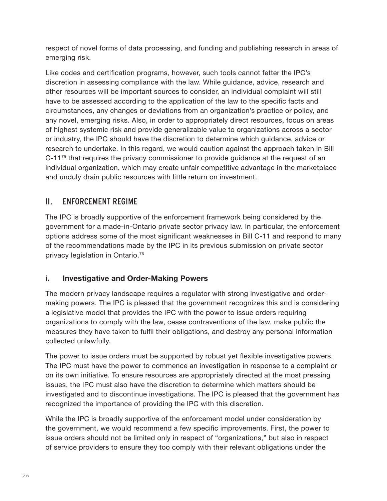<span id="page-27-0"></span>respect of novel forms of data processing, and funding and publishing research in areas of emerging risk.

Like codes and certification programs, however, such tools cannot fetter the IPC's discretion in assessing compliance with the law. While guidance, advice, research and other resources will be important sources to consider, an individual complaint will still have to be assessed according to the application of the law to the specific facts and circumstances, any changes or deviations from an organization's practice or policy, and any novel, emerging risks. Also, in order to appropriately direct resources, focus on areas of highest systemic risk and provide generalizable value to organizations across a sector or industry, the IPC should have the discretion to determine which guidance, advice or research to undertake. In this regard, we would caution against the approach taken in Bill  $C-11^{75}$  $C-11^{75}$  $C-11^{75}$  that requires the privacy commissioner to provide quidance at the request of an individual organization, which may create unfair competitive advantage in the marketplace and unduly drain public resources with little return on investment.

#### II. ENFORCEMENT REGIME

The IPC is broadly supportive of the enforcement framework being considered by the government for a made-in-Ontario private sector privacy law. In particular, the enforcement options address some of the most significant weaknesses in Bill C-11 and respond to many of the recommendations made by the IPC in its previous submission on private sector privacy legislation in Ontario.[76](#page-39-0) 

#### **i. Investigative and Order-Making Powers**

The modern privacy landscape requires a regulator with strong investigative and ordermaking powers. The IPC is pleased that the government recognizes this and is considering a legislative model that provides the IPC with the power to issue orders requiring organizations to comply with the law, cease contraventions of the law, make public the measures they have taken to fulfil their obligations, and destroy any personal information collected unlawfully.

The power to issue orders must be supported by robust yet flexible investigative powers. The IPC must have the power to commence an investigation in response to a complaint or on its own initiative. To ensure resources are appropriately directed at the most pressing issues, the IPC must also have the discretion to determine which matters should be investigated and to discontinue investigations. The IPC is pleased that the government has recognized the importance of providing the IPC with this discretion.

While the IPC is broadly supportive of the enforcement model under consideration by the government, we would recommend a few specific improvements. First, the power to issue orders should not be limited only in respect of "organizations," but also in respect of service providers to ensure they too comply with their relevant obligations under the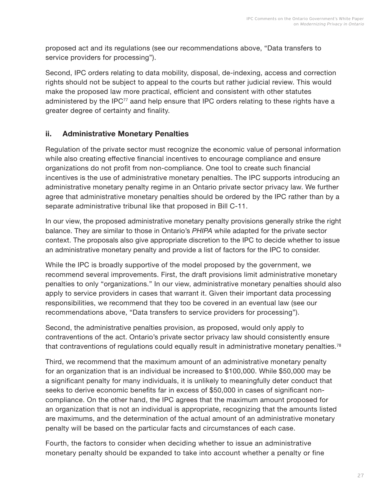<span id="page-28-0"></span>proposed act and its regulations (see our recommendations above, "Data transfers to service providers for processing").

Second, IPC orders relating to data mobility, disposal, de-indexing, access and correction rights should not be subject to appeal to the courts but rather judicial review. This would make the proposed law more practical, efficient and consistent with other statutes administered by the IPC<sup>[77](#page-39-0)</sup> aand help ensure that IPC orders relating to these rights have a greater degree of certainty and finality.

#### **ii. Administrative Monetary Penalties**

Regulation of the private sector must recognize the economic value of personal information while also creating effective financial incentives to encourage compliance and ensure organizations do not profit from non-compliance. One tool to create such financial incentives is the use of administrative monetary penalties. The IPC supports introducing an administrative monetary penalty regime in an Ontario private sector privacy law. We further agree that administrative monetary penalties should be ordered by the IPC rather than by a separate administrative tribunal like that proposed in Bill C-11.

In our view, the proposed administrative monetary penalty provisions generally strike the right balance. They are similar to those in Ontario's *PHIPA* while adapted for the private sector context. The proposals also give appropriate discretion to the IPC to decide whether to issue an administrative monetary penalty and provide a list of factors for the IPC to consider.

While the IPC is broadly supportive of the model proposed by the government, we recommend several improvements. First, the draft provisions limit administrative monetary penalties to only "organizations." In our view, administrative monetary penalties should also apply to service providers in cases that warrant it. Given their important data processing responsibilities, we recommend that they too be covered in an eventual law (see our recommendations above, "Data transfers to service providers for processing").

Second, the administrative penalties provision, as proposed, would only apply to contraventions of the act. Ontario's private sector privacy law should consistently ensure that contraventions of regulations could equally result in administrative monetary penalties.<sup>[78](#page-39-0)</sup>

Third, we recommend that the maximum amount of an administrative monetary penalty for an organization that is an individual be increased to \$100,000. While \$50,000 may be a significant penalty for many individuals, it is unlikely to meaningfully deter conduct that seeks to derive economic benefits far in excess of \$50,000 in cases of significant noncompliance. On the other hand, the IPC agrees that the maximum amount proposed for an organization that is not an individual is appropriate, recognizing that the amounts listed are maximums, and the determination of the actual amount of an administrative monetary penalty will be based on the particular facts and circumstances of each case.

Fourth, the factors to consider when deciding whether to issue an administrative monetary penalty should be expanded to take into account whether a penalty or fine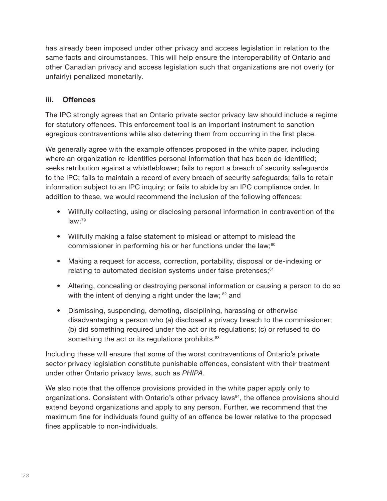<span id="page-29-0"></span>has already been imposed under other privacy and access legislation in relation to the same facts and circumstances. This will help ensure the interoperability of Ontario and other Canadian privacy and access legislation such that organizations are not overly (or unfairly) penalized monetarily.

#### **iii. Offences**

The IPC strongly agrees that an Ontario private sector privacy law should include a regime for statutory offences. This enforcement tool is an important instrument to sanction egregious contraventions while also deterring them from occurring in the first place.

We generally agree with the example offences proposed in the white paper, including where an organization re-identifies personal information that has been de-identified; seeks retribution against a whistleblower; fails to report a breach of security safeguards to the IPC; fails to maintain a record of every breach of security safeguards; fails to retain information subject to an IPC inquiry; or fails to abide by an IPC compliance order. In addition to these, we would recommend the inclusion of the following offences:

- Willfully collecting, using or disclosing personal information in contravention of the  $law;^{79}$
- Willfully making a false statement to mislead or attempt to mislead the commissioner in performing his or her functions under the law;<sup>80</sup>
- Making a request for access, correction, portability, disposal or de-indexing or relating to automated decision systems under false pretenses;<sup>[81](#page-39-0)</sup>
- Altering, concealing or destroying personal information or causing a person to do so with the intent of denying a right under the law; <sup>[82](#page-39-0)</sup> and
- Dismissing, suspending, demoting, disciplining, harassing or otherwise disadvantaging a person who (a) disclosed a privacy breach to the commissioner; (b) did something required under the act or its regulations; (c) or refused to do something the act or its regulations prohibits.<sup>[83](#page-39-0)</sup>

Including these will ensure that some of the worst contraventions of Ontario's private sector privacy legislation constitute punishable offences, consistent with their treatment under other Ontario privacy laws, such as *PHIPA*.

We also note that the offence provisions provided in the white paper apply only to organizations. Consistent with Ontario's other privacy laws<sup>[84](#page-39-0)</sup>, the offence provisions should extend beyond organizations and apply to any person. Further, we recommend that the maximum fine for individuals found guilty of an offence be lower relative to the proposed fines applicable to non-individuals.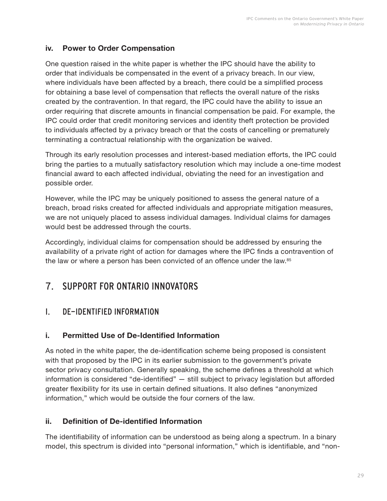#### <span id="page-30-0"></span>**iv. Power to Order Compensation**

One question raised in the white paper is whether the IPC should have the ability to order that individuals be compensated in the event of a privacy breach. In our view, where individuals have been affected by a breach, there could be a simplified process for obtaining a base level of compensation that reflects the overall nature of the risks created by the contravention. In that regard, the IPC could have the ability to issue an order requiring that discrete amounts in financial compensation be paid. For example, the IPC could order that credit monitoring services and identity theft protection be provided to individuals affected by a privacy breach or that the costs of cancelling or prematurely terminating a contractual relationship with the organization be waived.

Through its early resolution processes and interest-based mediation efforts, the IPC could bring the parties to a mutually satisfactory resolution which may include a one-time modest financial award to each affected individual, obviating the need for an investigation and possible order.

However, while the IPC may be uniquely positioned to assess the general nature of a breach, broad risks created for affected individuals and appropriate mitigation measures, we are not uniquely placed to assess individual damages. Individual claims for damages would best be addressed through the courts.

Accordingly, individual claims for compensation should be addressed by ensuring the availability of a private right of action for damages where the IPC finds a contravention of the law or where a person has been convicted of an offence under the law.<sup>[85](#page-39-0)</sup>

## 7. SUPPORT FOR ONTARIO INNOVATORS

#### I. DE-IDENTIFIED INFORMATION

#### **i. Permitted Use of De-Identified Information**

As noted in the white paper, the de-identification scheme being proposed is consistent with that proposed by the IPC in its earlier submission to the government's private sector privacy consultation. Generally speaking, the scheme defines a threshold at which information is considered "de-identified" — still subject to privacy legislation but afforded greater flexibility for its use in certain defined situations. It also defines "anonymized information," which would be outside the four corners of the law.

#### **ii. Definition of De-identified Information**

The identifiability of information can be understood as being along a spectrum. In a binary model, this spectrum is divided into "personal information," which is identifiable, and "non-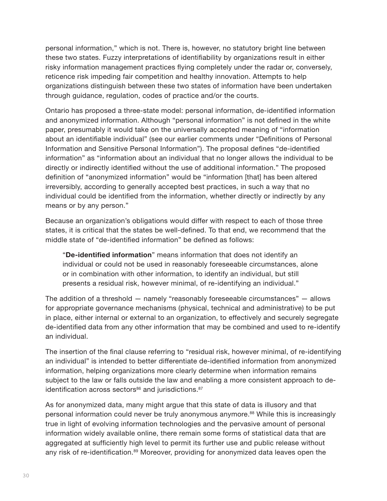<span id="page-31-0"></span>personal information," which is not. There is, however, no statutory bright line between these two states. Fuzzy interpretations of identifiability by organizations result in either risky information management practices flying completely under the radar or, conversely, reticence risk impeding fair competition and healthy innovation. Attempts to help organizations distinguish between these two states of information have been undertaken through guidance, regulation, codes of practice and/or the courts.

Ontario has proposed a three-state model: personal information, de-identified information and anonymized information. Although "personal information" is not defined in the white paper, presumably it would take on the universally accepted meaning of "information about an identifiable individual" (see our earlier comments under "Definitions of Personal Information and Sensitive Personal Information"). The proposal defines "de-identified information" as "information about an individual that no longer allows the individual to be directly or indirectly identified without the use of additional information." The proposed definition of "anonymized information" would be "information [that] has been altered irreversibly, according to generally accepted best practices, in such a way that no individual could be identified from the information, whether directly or indirectly by any means or by any person."

Because an organization's obligations would differ with respect to each of those three states, it is critical that the states be well-defined. To that end, we recommend that the middle state of "de-identified information" be defined as follows:

"**De-identified information**" means information that does not identify an individual or could not be used in reasonably foreseeable circumstances, alone or in combination with other information, to identify an individual, but still presents a residual risk, however minimal, of re-identifying an individual."

The addition of a threshold — namely "reasonably foreseeable circumstances" — allows for appropriate governance mechanisms (physical, technical and administrative) to be put in place, either internal or external to an organization, to effectively and securely segregate de-identified data from any other information that may be combined and used to re-identify an individual.

The insertion of the final clause referring to "residual risk, however minimal, of re-identifying an individual" is intended to better differentiate de-identified information from anonymized information, helping organizations more clearly determine when information remains subject to the law or falls outside the law and enabling a more consistent approach to de-identification across sectors<sup>[86](#page-39-0)</sup> and jurisdictions.<sup>[87](#page-39-0)</sup>

As for anonymized data, many might argue that this state of data is illusory and that personal information could never be truly anonymous anymore.<sup>[88](#page-39-0)</sup> While this is increasingly true in light of evolving information technologies and the pervasive amount of personal information widely available online, there remain some forms of statistical data that are aggregated at sufficiently high level to permit its further use and public release without any risk of re-identification.<sup>[89](#page-39-0)</sup> Moreover, providing for anonymized data leaves open the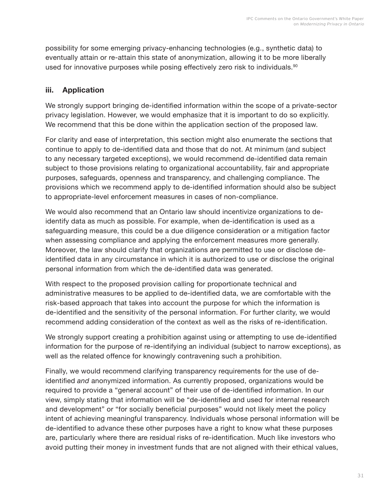<span id="page-32-0"></span>possibility for some emerging privacy-enhancing technologies (e.g., synthetic data) to eventually attain or re-attain this state of anonymization, allowing it to be more liberally used for innovative purposes while posing effectively zero risk to individuals.<sup>[90](#page-39-0)</sup>

#### **iii. Application**

We strongly support bringing de-identified information within the scope of a private-sector privacy legislation. However, we would emphasize that it is important to do so explicitly. We recommend that this be done within the application section of the proposed law.

For clarity and ease of interpretation, this section might also enumerate the sections that continue to apply to de-identified data and those that do not. At minimum (and subject to any necessary targeted exceptions), we would recommend de-identified data remain subject to those provisions relating to organizational accountability, fair and appropriate purposes, safeguards, openness and transparency, and challenging compliance. The provisions which we recommend apply to de-identified information should also be subject to appropriate-level enforcement measures in cases of non-compliance.

We would also recommend that an Ontario law should incentivize organizations to deidentify data as much as possible. For example, when de-identification is used as a safeguarding measure, this could be a due diligence consideration or a mitigation factor when assessing compliance and applying the enforcement measures more generally. Moreover, the law should clarify that organizations are permitted to use or disclose deidentified data in any circumstance in which it is authorized to use or disclose the original personal information from which the de-identified data was generated.

With respect to the proposed provision calling for proportionate technical and administrative measures to be applied to de-identified data, we are comfortable with the risk-based approach that takes into account the purpose for which the information is de-identified and the sensitivity of the personal information. For further clarity, we would recommend adding consideration of the context as well as the risks of re-identification.

We strongly support creating a prohibition against using or attempting to use de-identified information for the purpose of re-identifying an individual (subject to narrow exceptions), as well as the related offence for knowingly contravening such a prohibition.

Finally, we would recommend clarifying transparency requirements for the use of deidentified *and* anonymized information. As currently proposed, organizations would be required to provide a "general account" of their use of de-identified information. In our view, simply stating that information will be "de-identified and used for internal research and development" or "for socially beneficial purposes" would not likely meet the policy intent of achieving meaningful transparency. Individuals whose personal information will be de-identified to advance these other purposes have a right to know what these purposes are, particularly where there are residual risks of re-identification. Much like investors who avoid putting their money in investment funds that are not aligned with their ethical values,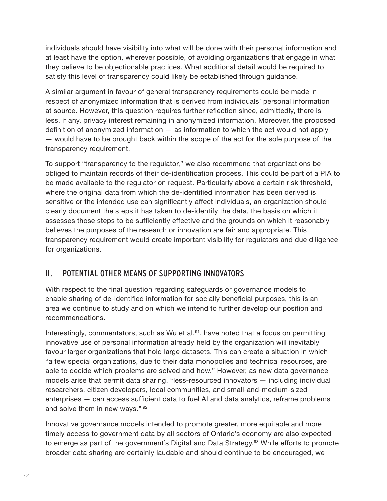<span id="page-33-0"></span>individuals should have visibility into what will be done with their personal information and at least have the option, wherever possible, of avoiding organizations that engage in what they believe to be objectionable practices. What additional detail would be required to satisfy this level of transparency could likely be established through guidance.

A similar argument in favour of general transparency requirements could be made in respect of anonymized information that is derived from individuals' personal information at source. However, this question requires further reflection since, admittedly, there is less, if any, privacy interest remaining in anonymized information. Moreover, the proposed definition of anonymized information — as information to which the act would not apply — would have to be brought back within the scope of the act for the sole purpose of the transparency requirement.

To support "transparency to the regulator," we also recommend that organizations be obliged to maintain records of their de-identification process. This could be part of a PIA to be made available to the regulator on request. Particularly above a certain risk threshold, where the original data from which the de-identified information has been derived is sensitive or the intended use can significantly affect individuals, an organization should clearly document the steps it has taken to de-identify the data, the basis on which it assesses those steps to be sufficiently effective and the grounds on which it reasonably believes the purposes of the research or innovation are fair and appropriate. This transparency requirement would create important visibility for regulators and due diligence for organizations.

#### II. POTENTIAL OTHER MEANS OF SUPPORTING INNOVATORS

With respect to the final question regarding safeguards or governance models to enable sharing of de-identified information for socially beneficial purposes, this is an area we continue to study and on which we intend to further develop our position and recommendations.

Interestingly, commentators, such as Wu et al. $91$ , have noted that a focus on permitting innovative use of personal information already held by the organization will inevitably favour larger organizations that hold large datasets. This can create a situation in which "a few special organizations, due to their data monopolies and technical resources, are able to decide which problems are solved and how." However, as new data governance models arise that permit data sharing, "less-resourced innovators — including individual researchers, citizen developers, local communities, and small-and-medium-sized enterprises — can access sufficient data to fuel AI and data analytics, reframe problems and solve them in new ways." [92](#page-39-0)

Innovative governance models intended to promote greater, more equitable and more timely access to government data by all sectors of Ontario's economy are also expected to emerge as part of the government's Digital and Data Strategy.<sup>[93](#page-39-0)</sup> While efforts to promote broader data sharing are certainly laudable and should continue to be encouraged, we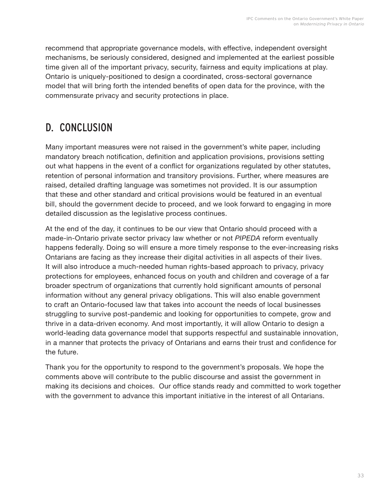<span id="page-34-0"></span>recommend that appropriate governance models, with effective, independent oversight mechanisms, be seriously considered, designed and implemented at the earliest possible time given all of the important privacy, security, fairness and equity implications at play. Ontario is uniquely-positioned to design a coordinated, cross-sectoral governance model that will bring forth the intended benefits of open data for the province, with the commensurate privacy and security protections in place.

## D. CONCLUSION

Many important measures were not raised in the government's white paper, including mandatory breach notification, definition and application provisions, provisions setting out what happens in the event of a conflict for organizations regulated by other statutes, retention of personal information and transitory provisions. Further, where measures are raised, detailed drafting language was sometimes not provided. It is our assumption that these and other standard and critical provisions would be featured in an eventual bill, should the government decide to proceed, and we look forward to engaging in more detailed discussion as the legislative process continues.

At the end of the day, it continues to be our view that Ontario should proceed with a made-in-Ontario private sector privacy law whether or not *PIPEDA* reform eventually happens federally. Doing so will ensure a more timely response to the ever-increasing risks Ontarians are facing as they increase their digital activities in all aspects of their lives. It will also introduce a much-needed human rights-based approach to privacy, privacy protections for employees, enhanced focus on youth and children and coverage of a far broader spectrum of organizations that currently hold significant amounts of personal information without any general privacy obligations. This will also enable government to craft an Ontario-focused law that takes into account the needs of local businesses struggling to survive post-pandemic and looking for opportunities to compete, grow and thrive in a data-driven economy. And most importantly, it will allow Ontario to design a world-leading data governance model that supports respectful and sustainable innovation, in a manner that protects the privacy of Ontarians and earns their trust and confidence for the future.

Thank you for the opportunity to respond to the government's proposals. We hope the comments above will contribute to the public discourse and assist the government in making its decisions and choices. Our office stands ready and committed to work together with the government to advance this important initiative in the interest of all Ontarians.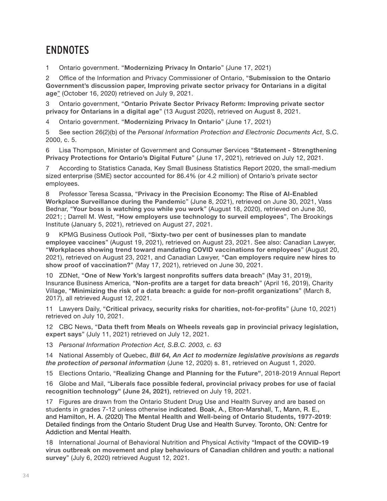## <span id="page-35-0"></span>**ENDNOTES**

[1](#page-2-0) Ontario government. "**[Modernizing](https://www.ontariocanada.com/registry/showAttachment.do?postingId=37468&attachmentId=49462) Privacy In Ontario**" (June 17, 2021)

[2](#page-2-0) Office of the Information and Privacy Commissioner of Ontario, "**[Submission](https://www.ipc.on.ca/wp-content/uploads/2020/10/2020-10-16-ipc-private-sector-consultation-submission.pdf) to the Ontario [Government's](https://www.ipc.on.ca/wp-content/uploads/2020/10/2020-10-16-ipc-private-sector-consultation-submission.pdf) discussion paper, Improving private sector privacy for Ontarians in a digital [age](https://www.ipc.on.ca/wp-content/uploads/2020/10/2020-10-16-ipc-private-sector-consultation-submission.pdf)**" (October 16, 2020) retrieved on July 9, 2021.

[3](#page-2-0) Ontario government, "**Ontario Private Sector Privacy Reform: [Improving](https://www.ontariocanada.com/registry/showAttachment.do?postingId=33967&attachmentId=45716) private sector privacy for [Ontarians](https://www.ontariocanada.com/registry/showAttachment.do?postingId=33967&attachmentId=45716) in a digital age**" (13 August 2020), retrieved on August 8, 2021.

[4](#page-2-0) Ontario government. "**[Modernizing](https://www.ontariocanada.com/registry/showAttachment.do?postingId=37468&attachmentId=49462) Privacy In Ontario**" (June 17, 2021)

[5](#page-2-0) See section 26(2)(b) of the *Personal Information Protection and Electronic Documents Act*, S.C. 2000, c. 5.

[6](#page-2-0) Lisa Thompson, Minister of Government and Consumer Services "**Statement - [Strengthening](https://news.ontario.ca/en/statement/1000369/strengthening-privacy-protections-for-ontarios-digital-future) Privacy [Protections](https://news.ontario.ca/en/statement/1000369/strengthening-privacy-protections-for-ontarios-digital-future) for Ontario's Digital Future**" (June 17, 2021), retrieved on July 12, 2021.

[7](#page-3-0) According to Statistics Canada, Key Small Business Statistics Report 2020, the small-medium sized enterprise (SME) sector accounted for 86.4% (or 4.2 million) of Ontario's private sector employees.

[8](#page-3-0) Professor Teresa Scassa, "**Privacy in the Precision Economy: The Rise of [AI-Enabled](https://www.cigionline.org/articles/privacy-in-the-precision-economy-the-rise-of-ai-enabled-workplace-surveillance-during-the-pandemic/) Workplace [Surveillance](https://www.cigionline.org/articles/privacy-in-the-precision-economy-the-rise-of-ai-enabled-workplace-surveillance-during-the-pandemic/) during the Pandemic**" (June 8, 2021), retrieved on June 30, 2021, Vass Bednar, "**Your boss is [watching](https://nationalpost.com/opinion/vass-bednar-your-boss-is-watching-you-while-you-work) you while you work**" (August 18, 2020), retrieved on June 30, 2021; ; Darrell M. West, "**How employers use [technology](https://www.brookings.edu/blog/techtank/2021/01/05/how-employers-use-technology-to-surveil-employees/) to surveil employees**", The Brookings Institute (January 5, 2021), retrieved on August 27, 2021.

[9](#page-4-0) KPMG Business Outlook Poll, "**Sixty-two per cent of [businesses](https://home.kpmg/ca/en/home/media/press-releases/2021/08/62-of-businesses-plan-to-mandate-employee-vaccines.html) plan to mandate [employee](https://home.kpmg/ca/en/home/media/press-releases/2021/08/62-of-businesses-plan-to-mandate-employee-vaccines.html) vaccines**" (August 19, 2021), retrieved on August 23, 2021. See also: Canadian Lawyer, "**Workplaces showing trend toward mandating COVID [vaccinations](https://www.canadianlawyermag.com/news/general/workplaces-showing-trend-toward-mandating-covid-vaccinations-for-employees/359126) for employees**" (August 20, 2021), retrieved on August 23, 2021, and Canadian Lawyer, "**Can [employers](https://www.canadianlawyermag.com/practice-areas/labour-and-employment/can-employers-require-new-hires-to-show-proof-of-vaccination/356212) require new hires to [show proof of vaccination?](https://www.canadianlawyermag.com/practice-areas/labour-and-employment/can-employers-require-new-hires-to-show-proof-of-vaccination/356212)**" (May 17, 2021), retrieved on June 30, 2021.

[10](#page-4-0) ZDNet, "**One of New York's largest [nonprofits](https://www.zdnet.com/article/one-of-new-yorks-largest-nonprofits-suffers-data-breach/) suffers data breach**" (May 31, 2019), Insurance Business America, "**[Non-profits](https://www.insurancebusinessmag.com/us/news/non-profits/nonprofits-are-a-target-for-data-breach-165039.aspx) are a target for data breach**" (April 16, 2019), Charity Village, "**Minimizing the risk of a data breach: a guide for non-profit [organizations](https://charityvillage.com/minimizing_the_risk_of_a_data_breach_a_guide_for_nonprofit_organizations/)**" (March 8, 2017), all retrieved August 12, 2021.

[11](#page-4-0) Lawyers Daily, "**Critical privacy, security risks for charities, [not-for-profits](https://www.thelawyersdaily.ca/articles/27356/critical-privacy-security-risks-for-charities-not-for-profits)**" (June 10, 2021) retrieved on July 10, 2021.

[12](#page-4-0) CBC News, "**Data theft from Meals on Wheels reveals gap in provincial privacy [legislation,](https://www.cbc.ca/news/canada/edmonton/data-theft-from-meals-on-wheels-reveals-gap-in-provincial-privacy-legislation-expert-says-1.6096498) [expert says](https://www.cbc.ca/news/canada/edmonton/data-theft-from-meals-on-wheels-reveals-gap-in-provincial-privacy-legislation-expert-says-1.6096498)**" (July 11, 2021) retrieved on July 12, 2021.

[13](#page-4-0) *Personal Information Protection Act, S.B.C. 2003, c. 63*

[14](#page-4-0) National Assembly of Quebec, *[Bill 64, An Act to modernize legislative provisions as regards](http://www.assnat.qc.ca/en/travaux-parlementaires/projets-loi/projet-loi-64-42-1.html)  [the protection of personal information](http://www.assnat.qc.ca/en/travaux-parlementaires/projets-loi/projet-loi-64-42-1.html)* (June 12, 2020) s. 81, retrieved on August 1, 2020.

[15](#page-4-0) Elections Ontario, "**[Realizing](https://www.elections.on.ca/content/dam/NGW/sitecontent/2020/reports/2018-2019%20Annual%20Report.pdf) Change and Planning for the Future"**, 2018-2019 Annual Report

[16](#page-4-0) Globe and Mail, "**[Liberals face possible federal, provincial privacy probes for use of facial](https://www.theglobeandmail.com/politics/article-liberals-face-possible-federal-provincial-privacy-probes-for-use-of/?mkt_tok=MTM4LUVaTS0wNDIAAAF-BrUMOGpdgg9odZsokzQd7MgtwgAtAWSeV8VmhpKGp2DLc0pP6GcDwE3B6BTk2M_2y0NSpmxtpM6iNOF3FOFfUJoi08xEvU9DgktcFgS-thkb)  [recognition technology"](https://www.theglobeandmail.com/politics/article-liberals-face-possible-federal-provincial-privacy-probes-for-use-of/?mkt_tok=MTM4LUVaTS0wNDIAAAF-BrUMOGpdgg9odZsokzQd7MgtwgAtAWSeV8VmhpKGp2DLc0pP6GcDwE3B6BTk2M_2y0NSpmxtpM6iNOF3FOFfUJoi08xEvU9DgktcFgS-thkb) (June 24, 2021)**, retrieved on July 19, 2021.

[17](#page-5-0) Figures are drawn from the Ontario Student Drug Use and Health Survey and are based on students in grades 7-12 unless otherwise indicated. Boak, A., Elton-Marshall, T., Mann, R. E., and Hamilton, H. A. (2020) **The Mental Health and [Well-being](https://www.camh.ca/-/media/files/pdf---osduhs/osduhs-mh-report2019-pdf.pdf?la=en&hash=B09A32093B5D6ABD401F796CE0A59A430D261C32) of Ontario Students, 1977-2019**: Detailed findings from the Ontario Student Drug Use and Health Survey. Toronto, ON: Centre for Addiction and Mental Health.

[18](#page-5-0) International Journal of Behavioral Nutrition and Physical Activity "**Impact of the [COVID-19](https://ijbnpa.biomedcentral.com/articles/10.1186/s12966-020-00987-8) virus outbreak on movement and play [behaviours](https://ijbnpa.biomedcentral.com/articles/10.1186/s12966-020-00987-8) of Canadian children and youth: a national [survey](https://ijbnpa.biomedcentral.com/articles/10.1186/s12966-020-00987-8)**" (July 6, 2020) retrieved August 12, 2021.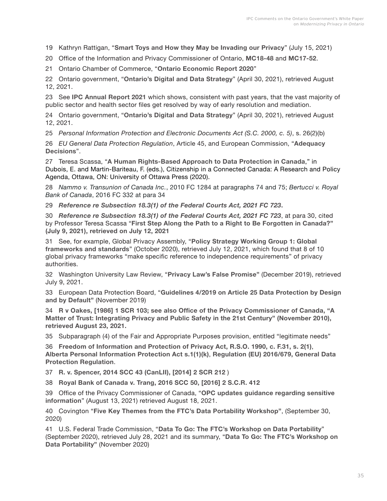<span id="page-36-0"></span>[19](#page-5-0) Kathryn Rattigan, "**Smart Toys and How they May be [Invading](https://www.dataprivacyandsecurityinsider.com/2021/07/smart-toys-and-how-they-may-be-invading-our-privacy/) our Privacy**" (July 15, 2021)

[20](#page-5-0) Office of the Information and Privacy Commissioner of Ontario, **[MC18-48](https://decisions.ipc.on.ca/ipc-cipvp/privacy/en/item/497566/index.do)** and **[MC17-52](https://decisions.ipc.on.ca/ipc-cipvp/privacy/en/item/511225/index.do?q=MC17-52)**.

[21](#page-5-0) Ontario Chamber of Commerce, "**Ontario [Economic](https://occ.ca/wp-content/uploads/2020-Ontario-Economic-Report.pdf) Report 2020**"

[22](#page-6-0) Ontario government, "**Ontario's Digital and Data Strategy**" (April 30, 2021), retrieved August 12, 2021.

[23](#page-6-0) See **[IPC Annual Report 2021](https://www.ipc.on.ca/wp-content/uploads/2021/05/ar-2020-e.pdf)** which shows, consistent with past years, that the vast majority of public sector and health sector files get resolved by way of early resolution and mediation.

[24](#page-6-0) Ontario government, "**Ontario's Digital and Data Strategy**" (April 30, 2021), retrieved August 12, 2021.

[25](#page-7-0) *Personal Information Protection and Electronic Documents Act (S.C. 2000, c. 5)*, s. 26(2)(b)

[26](#page-7-0) *EU General Data Protection Regulation*, Article 45, and European Commission, "**Adequacy Decisions**".

[27](#page-8-0) Teresa Scassa, "**A Human [Rights-Based](https://papers.ssrn.com/sol3/papers.cfm?abstract_id=3620450) Approach to Data Protection in Canada**," in Dubois, E. and Martin-Bariteau, F. (eds.), Citizenship in a Connected Canada: A Research and Policy Agenda, Ottawa, ON: University of Ottawa Press (2020).

[28](#page-8-0) *Nammo v. Transunion of Canada Inc.*, 2010 FC 1284 at paragraphs 74 and 75; *Bertucci v. Royal Bank of Canada*, 2016 FC 332 at para 34

[29](#page-8-0) *[Reference re Subsection 18.3\(1\) of the Federal Courts Act, 2021 FC 723](https://cippic.ca/uploads/T-1779-18_Reasons.pdf)***.**

[30](#page-8-0) *[Reference re Subsection 18.3\(1\) of the Federal Courts Act, 2021 FC 723](https://cippic.ca/uploads/T-1779-18_Reasons.pdf)*, at para 30, cited by Professor Teresa Scassa "**First Step Along the Path to a Right to Be [Forgotten](https://www.teresascassa.ca/index.php?option=com_k2&view=item&id=345:a-first-step-along-the-path-to-a-right-to-be-forgotten-in-canada?&Itemid=80) in Canada?" (July 9, 2021), retrieved on July 12, 2021**

[31](#page-8-0) See, for example, Global Privacy Assembly, "**Policy [Strategy](https://globalprivacyassembly.org/wp-content/uploads/2020/10/Day-1-1_2a-Day-3-3_2b-v1_0-Policy-Strategy-Working-Group-WS1-Global-frameworks-and-standards-Report-Final.pdf) Working Group 1: Global [frameworks](https://globalprivacyassembly.org/wp-content/uploads/2020/10/Day-1-1_2a-Day-3-3_2b-v1_0-Policy-Strategy-Working-Group-WS1-Global-frameworks-and-standards-Report-Final.pdf) and standards**" (October 2020), retrieved July 12, 2021, which found that 8 of 10 global privacy frameworks "make specific reference to independence requirements" of privacy authorities.

[32](#page-9-0) Washington University Law Review, "**Privacy Law's False [Promise](https://papers.ssrn.com/sol3/papers.cfm?abstract_id=3499913)"** (December 2019), retrieved July 9, 2021.

[33](#page-9-0) European Data Protection Board, "**[Guidelines](https://edpb.europa.eu/sites/edpb/files/consultation/edpb_guidelines_201904_dataprotection_by_design_and_by_default.pdf) 4/2019 on Article 25 Data Protection by Design [and by Default"](https://edpb.europa.eu/sites/edpb/files/consultation/edpb_guidelines_201904_dataprotection_by_design_and_by_default.pdf)** (November 2019)

[34](#page-9-0) **R v [Oakes,](https://scc-csc.lexum.com/scc-csc/scc-csc/en/item/117/index.do) [1986] 1 SCR 103; see also Office of the Privacy Commissioner of Canada, "A Matter of Trust: Integrating Privacy and Public Safety in the 21st Century" (November 2010), retrieved August 23, 2021.**

[35](#page-9-0) Subparagraph (4) of the Fair and Appropriate Purposes provision, entitled "legitimate needs"

[36](#page-10-0) **Freedom of [Information](https://www.ontario.ca/laws/statute/90f31) and Protection of Privacy Act, R.S.O. 1990, c. F.31, s. 2(1)**, **Alberta Personal [Information](https://www.qp.alberta.ca/documents/Acts/P06P5.pdf) Protection Act s.1(1)(k)**, **[Regulation](https://eur-lex.europa.eu/legal-content/EN/TXT/?uri=CELEX%3A02016R0679-20160504&qid=1532348683434) (EU) 2016/679, General Data [Protection Regulation](https://eur-lex.europa.eu/legal-content/EN/TXT/?uri=CELEX%3A02016R0679-20160504&qid=1532348683434)**.

[37](#page-11-0) **R. v. [Spencer,](https://www.canlii.org/en/ca/scc/doc/2014/2014scc43/2014scc43.html) 2014 SCC 43 (CanLII), [2014] 2 SCR 212** )

[38](#page-11-0) **Royal Bank of [Canada](https://scc-csc.lexum.com/scc-csc/scc-csc/en/item/16242/index.do) v. Trang, 2016 SCC 50, [2016] 2 S.C.R. 412**

[39](#page-11-0) Office of the Privacy Commissioner of Canada, "**OPC updates guidance [regarding](https://www.priv.gc.ca/en/opc-news/news-and-announcements/2021/an_210813/) sensitive [information](https://www.priv.gc.ca/en/opc-news/news-and-announcements/2021/an_210813/)**" (August 13, 2021) retrieved August 18, 2021.

[40](#page-11-0) Covington "**Five Key Themes from the FTC's Data [Portability](https://www.insideprivacy.com/united-states/federal-trade-commission/five-key-themes-from-the-ftcs-data-portability-workshop/) Workshop"**, (September 30, 2020)

[41](#page-11-0) U.S. Federal Trade Commission, "**Data To Go: The FTC's Workshop on Data [Portability](https://www.ftc.gov/news-events/audio-video/video/data-go-ftc-workshop-data-portability)**" (September 2020), retrieved July 28, 2021 and its summary, "**Data To Go: The FTC's [Workshop](https://www.ftc.gov/system/files/documents/public_events/1568699/data-portability-workshop-summary.pdf) on [Data Portability"](https://www.ftc.gov/system/files/documents/public_events/1568699/data-portability-workshop-summary.pdf)** (November 2020)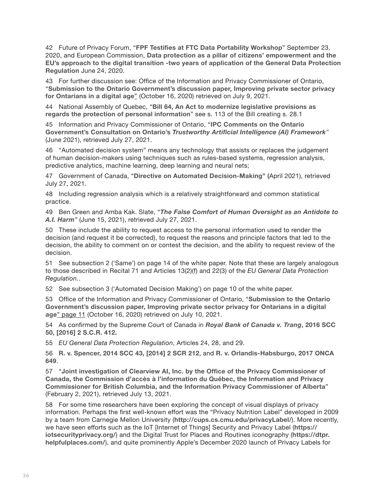<span id="page-37-0"></span>[42](#page-12-0) Future of Privacy Forum, "**FPF Testifies at FTC Data [Portability](https://fpf.org/blog/fpf-testifies-at-ftc-data-portability-workshop/) Workshop**" September 23, 2020, and European Commission, **Data protection as a pillar of citizens' [empowerment](https://ec.europa.eu/info/sites/default/files/1_en_act_part1_v6_1.pdf) and the EU's approach to the digital transition -two years of [application](https://ec.europa.eu/info/sites/default/files/1_en_act_part1_v6_1.pdf) of the General Data Protection [Regulation](https://ec.europa.eu/info/sites/default/files/1_en_act_part1_v6_1.pdf)** June 24, 2020.

[43](#page-12-0) For further discussion see: Office of the Information and Privacy Commissioner of Ontario, "**Submission to the Ontario [Government's](https://www.ipc.on.ca/wp-content/uploads/2020/10/2020-10-16-ipc-private-sector-consultation-submission.pdf) discussion paper, Improving private sector privacy for [Ontarians](https://www.ipc.on.ca/wp-content/uploads/2020/10/2020-10-16-ipc-private-sector-consultation-submission.pdf) in a digital age**" (October 16, 2020) retrieved on July 9, 2021.

[44](#page-13-0) National Assembly of Quebec, "**Bill 64, An Act to [modernize](http://www.assnat.qc.ca/en/travaux-parlementaires/projets-loi/projet-loi-64-42-1.html) legislative provisions as regards the protection of personal [information](http://www.assnat.qc.ca/en/travaux-parlementaires/projets-loi/projet-loi-64-42-1.html)**" see s. 113 of the Bill creating s. 28.1

[45](#page-13-0) Information and Privacy Commissioner of Ontario, "**IPC [Comments](https://www.ipc.on.ca/wp-content/uploads/2021/06/2021-06-04-ipc-comments-on-ai-framework.pdf) on the Ontario Government's Consultation on Ontario's** *[Trustworthy Artificial Intelligence \(AI\) Framework](https://www.ipc.on.ca/wp-content/uploads/2021/06/2021-06-04-ipc-comments-on-ai-framework.pdf)"* (June 2021), retrieved July 27, 2021.

[46](#page-13-0) "Automated decision system" means any technology that assists or replaces the judgement of human decision-makers using techniques such as rules-based systems, regression analysis, predictive analytics, machine learning, deep learning and neural nets;

[47](#page-13-0) Government of Canada, "**Directive on Automated [Decision-Making](https://www.tbs-sct.gc.ca/pol/doc-eng.aspx?id=32592)" (**April 2021), retrieved July 27, 2021.

[48](#page-13-0) Including regression analysis which is a relatively straightforward and common statistical practice.

[49](#page-14-0) Ben Green and Amba Kak. Slate, "*[The False Comfort of Human Oversight as an Antidote to](https://slate.com/technology/2021/06/human-oversight-artificial-intelligence-laws.html)  [A.I. Harm](https://slate.com/technology/2021/06/human-oversight-artificial-intelligence-laws.html)"* (June 15, 2021), retrieved July 27, 2021.

[50](#page-14-0) These include the ability to request access to the personal information used to render the decision (and request it be corrected), to request the reasons and principle factors that led to the decision, the ability to comment on or contest the decision, and the ability to request review of the decision.

[51](#page-15-0) See subsection 2 ('Same') on page 14 of the white paper. Note that these are largely analogous to those described in Recital 71 and Articles 13(2)(f) and 22(3) of the *EU General Data Protection Regulation.*.

[52](#page-16-0) See subsection 3 ('Automated Decision Making') on page 10 of the white paper.

[53](#page-17-0) Office of the Information and Privacy Commissioner of Ontario, "**[Submission](https://www.ipc.on.ca/wp-content/uploads/2020/10/2020-10-16-ipc-private-sector-consultation-submission.pdf) to the Ontario [Government's](https://www.ipc.on.ca/wp-content/uploads/2020/10/2020-10-16-ipc-private-sector-consultation-submission.pdf) discussion paper, Improving private sector privacy for Ontarians in a digital [age](https://www.ipc.on.ca/wp-content/uploads/2020/10/2020-10-16-ipc-private-sector-consultation-submission.pdf)**" page 11 (October 16, 2020) retrieved on July 10, 2021.

[54](#page-17-0) As confirmed by the Supreme Court of Canada in *[Royal Bank of Canada v. Trang](https://scc-csc.lexum.com/scc-csc/scc-csc/en/item/16242/index.do)***, 2016 SCC 50, [2016] 2 [S.C.R.](https://scc-csc.lexum.com/scc-csc/scc-csc/en/item/16242/index.do) 412.**

[55](#page-19-0) *EU General Data Protection Regulation*, Articles 24, 28, and 29.

[56](#page-19-0) **R. v. [Spencer,](https://www.canlii.org/en/ca/scc/doc/2014/2014scc43/2014scc43.html) 2014 SCC 43, [2014] 2 SCR 212**, and **R. v. [Orlandis-Habsburgo,](https://www.ontariocourts.ca/decisions/2017/2017ONCA0649.htm) 2017 ONCA [649](https://www.ontariocourts.ca/decisions/2017/2017ONCA0649.htm)**.

[57](#page-21-0) "**Joint investigation of Clearview AI, Inc. by the Office of the Privacy [Commissioner](https://www.priv.gc.ca/en/opc-actions-and-decisions/investigations/investigations-into-businesses/2021/pipeda-2021-001/) of Canada, the Commission d'accès à [l'information](https://www.priv.gc.ca/en/opc-actions-and-decisions/investigations/investigations-into-businesses/2021/pipeda-2021-001/) du Québec, the Information and Privacy Commissioner for British Columbia, and the Information Privacy [Commissioner](https://www.priv.gc.ca/en/opc-actions-and-decisions/investigations/investigations-into-businesses/2021/pipeda-2021-001/) of Alberta**" (February 2, 2021), retrieved July 13, 2021.

[58](#page-22-0) For some time researchers have been exploring the concept of visual displays of privacy information. Perhaps the first well-known effort was the "Privacy Nutrition Label" developed in 2009 by a team from Carnegie Mellon University (**<http://cups.cs.cmu.edu/privacyLabel/>**). More recently, we have seen efforts such as the IoT [Internet of Things] Security and Privacy Label (**[https://](https://iotsecurityprivacy.org/) [iotsecurityprivacy.org/](https://iotsecurityprivacy.org/)**) and the Digital Trust for Places and Routines iconography (**[https://dtpr.](https://dtpr.helpfulplaces.com/) [helpfulplaces.com/](https://dtpr.helpfulplaces.com/)**), and quite prominently Apple's December 2020 launch of Privacy Labels for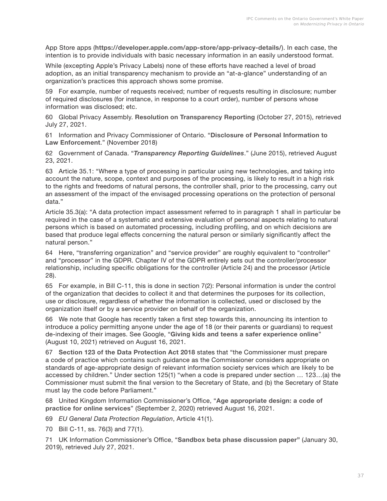<span id="page-38-0"></span>App Store apps (**<https://developer.apple.com/app-store/app-privacy-details/>**). In each case, the intention is to provide individuals with basic necessary information in an easily understood format.

While (excepting Apple's Privacy Labels) none of these efforts have reached a level of broad adoption, as an initial transparency mechanism to provide an "at-a-glance" understanding of an organization's practices this approach shows some promise.

[59](#page-23-0) For example, number of requests received; number of requests resulting in disclosure; number of required disclosures (for instance, in response to a court order), number of persons whose information was disclosed; etc.

[60](#page-23-0) Global Privacy Assembly. **Resolution on [Transparency](http://globalprivacyassembly.org/wp-content/uploads/2015/02/Resolution-on-Transparency-Reporting.pdf) Reporting** (October 27, 2015), retrieved July 27, 2021.

[61](#page-23-0) Information and Privacy Commissioner of Ontario. "**Disclosure of Personal [Information](https://www.ipc.on.ca/wp-content/uploads/2018/11/fs-privacy-law-enforcement.pdf) to Law [Enforcement](https://www.ipc.on.ca/wp-content/uploads/2018/11/fs-privacy-law-enforcement.pdf)**." (November 2018)

[62](#page-23-0) Government of Canada. "*[Transparency Reporting Guidelines](https://www.ic.gc.ca/eic/site/smt-gst.nsf/eng/sf11057.html)*." (June 2015), retrieved August 23, 2021.

[63](#page-24-0) Article 35.1: "Where a type of processing in particular using new technologies, and taking into account the nature, scope, context and purposes of the processing, is likely to result in a high risk to the rights and freedoms of natural persons, the controller shall, prior to the processing, carry out an assessment of the impact of the envisaged processing operations on the protection of personal data."

Article 35.3(a): "A data protection impact assessment referred to in paragraph 1 shall in particular be required in the case of a systematic and extensive evaluation of personal aspects relating to natural persons which is based on automated processing, including profiling, and on which decisions are based that produce legal effects concerning the natural person or similarly significantly affect the natural person."

[64](#page-24-0) Here, "transferring organization" and "service provider" are roughly equivalent to "controller" and "processor" in the GDPR. Chapter IV of the GDPR entirely sets out the controller/processor relationship, including specific obligations for the controller (Article 24) and the processor (Article 28).

[65](#page-24-0) For example, in Bill C-11, this is done in section 7(2): Personal information is under the control of the organization that decides to collect it and that determines the purposes for its collection, use or disclosure, regardless of whether the information is collected, used or disclosed by the organization itself or by a service provider on behalf of the organization.

[66](#page-25-0) We note that Google has recently taken a first step towards this, announcing its intention to introduce a policy permitting anyone under the age of 18 (or their parents or guardians) to request de-indexing of their images. See Google, "**Giving kids and teens a safer [experience](https://blog.google/technology/families/giving-kids-and-teens-safer-experience-online/) online**" (August 10, 2021) retrieved on August 16, 2021.

[67](#page-25-0) **Section 123 of the Data [Protection](https://www.legislation.gov.uk/ukpga/2018/12/section/123) Act 2018** states that "the Commissioner must prepare a code of practice which contains such guidance as the Commissioner considers appropriate on standards of age-appropriate design of relevant information society services which are likely to be accessed by children." Under section 125(1) "when a code is prepared under section … 123…(a) the Commissioner must submit the final version to the Secretary of State, and (b) the Secretary of State must lay the code before Parliament."

[68](#page-25-0) United Kingdom Information Commissioner's Office, "**Age [appropriate](https://ico.org.uk/media/for-organisations/guide-to-data-protection/key-data-protection-themes/age-appropriate-design-a-code-of-practice-for-online-services-2-1.pdf) design: a code of [practice for online services](https://ico.org.uk/media/for-organisations/guide-to-data-protection/key-data-protection-themes/age-appropriate-design-a-code-of-practice-for-online-services-2-1.pdf)**" (September 2, 2020) retrieved August 16, 2021.

[69](#page-26-0) *EU General Data Protection Regulation*, Article 41(1).

[70](#page-26-0) Bill C-11, ss. 76(3) and 77(1).

[71](#page-26-0) UK Information Commissioner's Office, "**[Sandbox beta phase discussion paper](https://ico.org.uk/media/about-the-ico/documents/2614219/sandbox-discussion-paper-20190130.pdf)"** (January 30, 2019), retrieved July 27, 2021.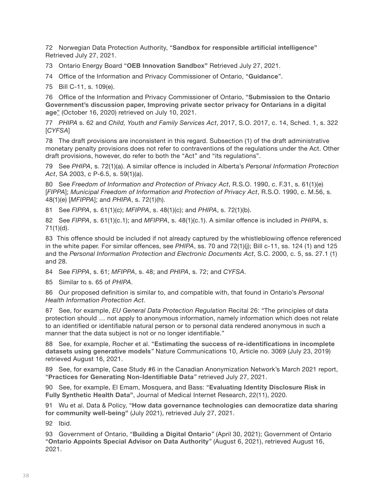<span id="page-39-0"></span>[72](#page-26-0) Norwegian Data Protection Authority, "**Sandbox for [responsible](https://www.datatilsynet.no/en/regulations-and-tools/sandbox-for-artificial-intelligence/) artificial intelligence"** Retrieved July 27, 2021.

[73](#page-26-0) Ontario Energy Board "**OEB [Innovation](https://www.oeb.ca/_html/sandbox/index.php) Sandbox"** Retrieved July 27, 2021.

[74](#page-26-0) Office of the Information and Privacy Commissioner of Ontario, "**[Guidance](https://www.ipc.on.ca/guidance-documents/)**".

[75](#page-27-0) Bill C-11, s. 109(e).

[76](#page-27-0) Office of the Information and Privacy Commissioner of Ontario, "**[Submission](https://www.ipc.on.ca/wp-content/uploads/2020/10/2020-10-16-ipc-private-sector-consultation-submission.pdf) to the Ontario [Government's](https://www.ipc.on.ca/wp-content/uploads/2020/10/2020-10-16-ipc-private-sector-consultation-submission.pdf) discussion paper, Improving private sector privacy for Ontarians in a digital [age](https://www.ipc.on.ca/wp-content/uploads/2020/10/2020-10-16-ipc-private-sector-consultation-submission.pdf)**" (October 16, 2020) retrieved on July 10, 2021.

[77](#page-28-0) *PHIPA* s. 62 and *Child, Youth and Family Services Act*, 2017, S.O. 2017, c. 14, Sched. 1, s. 322 [*CYFSA*]

[78](#page-28-0) The draft provisions are inconsistent in this regard. Subsection (1) of the draft administrative monetary penalty provisions does not refer to contraventions of the regulations under the Act. Other draft provisions, however, do refer to both the "Act" and "its regulations".

[79](#page-29-0) See *PHIPA*, s. 72(1)(a). A similar offence is included in Alberta's *Personal Information Protection Act*, SA 2003, c P-6.5, s. 59(1)(a).

[80](#page-29-0) See *Freedom of Information and Protection of Privacy Act*, R.S.O. 1990, c. F.31, s. 61(1)(e) [*FIPPA*]; *Municipal Freedom of Information and Protection of Privacy Act*, R.S.O. 1990, c. M.56, s. 48(1)(e) [*MFIPPA*]; and *PHIPA*, s. 72(1)(h).

[81](#page-29-0) See *FIPPA*, s. 61(1)(c); *MFIPPA*, s. 48(1)(c); and *PHIPA*, s. 72(1)(b).

[82](#page-29-0) See *FIPPA*, s. 61(1)(c.1); and *MFIPPA*, s. 48(1)(c.1). A similar offence is included in *PHIPA*, s. 71(1)(d).

[83](#page-29-0) This offence should be included if not already captured by the whistleblowing offence referenced in the white paper. For similar offences, see *PHIPA*, ss. 70 and 72(1)(j); Bill c-11, ss. 124 (1) and 125 and the *Personal Information Protection and Electronic Documents Act*, S.C. 2000, c. 5, ss. 27.1 (1) and 28.

[84](#page-29-0) See *FIPPA*, s. 61; *MFIPPA*, s. 48; and *PHIPA*, s. 72; and *CYFSA*.

[85](#page-30-0) Similar to s. 65 of *PHIPA*.

[86](#page-31-0) Our proposed definition is similar to, and compatible with, that found in Ontario's *Personal Health Information Protection Act.*

[87](#page-31-0) See, for example, *EU General Data Protection Regulation* Recital 26: "The principles of data protection should … not apply to anonymous information, namely information which does not relate to an identified or identifiable natural person or to personal data rendered anonymous in such a manner that the data subject is not or no longer identifiable."

[88](#page-31-0) See, for example, Rocher et al. "**Estimating the success of [re-identifications](https://www.nature.com/articles/s41467-019-10933-3) in incomplete datasets using [generative](https://www.nature.com/articles/s41467-019-10933-3) models***"* Nature Communications 10, Article no. 3069 (July 23, 2019) retrieved August 16, 2021.

[89](#page-31-0) See, for example, Case Study #6 in the Canadian Anonymization Network's March 2021 report, "**Practices for Generating [Non-Identifiable](https://deidentify.ca/wp-content/uploads/2021/05/CANON-OPC-Project-Consolidated-deliverables-v8-1.pdf) Data***"* retrieved July 27, 2021.

[90](#page-32-0) See, for example, El Emam, Mosquera, and Bass: "**Evaluating Identity [Disclosure](https://www.jmir.org/2020/11/e23139/) Risk in [Fully Synthetic Health Data"](https://www.jmir.org/2020/11/e23139/)**, Journal of Medical Internet Research, 22(11), 2020.

[91](#page-33-0) Wu et al. Data & Policy, "**How data governance [technologies](https://www.cambridge.org/core/journals/data-and-policy/article/how-data-governance-technologies-can-democratize-data-sharing-for-community-wellbeing/2BFB848644589873C00E22ADEA6E8AB3) can democratize data sharing for community [well-being"](https://www.cambridge.org/core/journals/data-and-policy/article/how-data-governance-technologies-can-democratize-data-sharing-for-community-wellbeing/2BFB848644589873C00E22ADEA6E8AB3)** (July 2021), retrieved July 27, 2021.

[92](#page-33-0) Ibid.

[93](#page-33-0) Government of Ontario, "**[Building](https://www.ontario.ca/page/building-digital-ontario) a Digital Ontario***"* (April 30, 2021); Government of Ontario "**Ontario Appoints Special Advisor on Data [Authority](https://news.ontario.ca/en/release/1000671/ontario-appoints-special-advisor-on-data-authority)***"* (August 6, 2021), retrieved August 16, 2021.